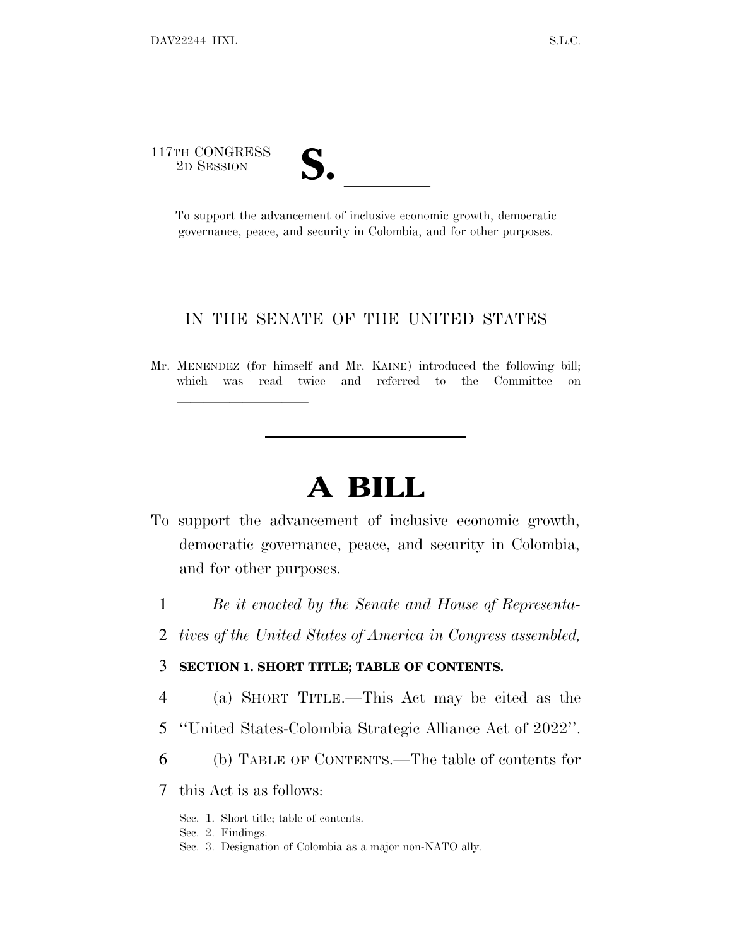117TH CONGRESS

lla se al consegue de la consegue de la consegue de la consegue de la consegue de la consegue de la consegue d<br>La consegue de la consegue de la consegue de la consegue de la consegue de la consegue de la consegue de la co

TH CONGRESS<br>
2D SESSION<br>
To support the advancement of inclusive economic growth, democratic governance, peace, and security in Colombia, and for other purposes.

#### IN THE SENATE OF THE UNITED STATES

Mr. MENENDEZ (for himself and Mr. KAINE) introduced the following bill; which was read twice and referred to the Committee on

# **A BILL**

- To support the advancement of inclusive economic growth, democratic governance, peace, and security in Colombia, and for other purposes.
	- 1 *Be it enacted by the Senate and House of Representa-*
	- 2 *tives of the United States of America in Congress assembled,*

#### 3 **SECTION 1. SHORT TITLE; TABLE OF CONTENTS.**

- 4 (a) SHORT TITLE.—This Act may be cited as the
- 5 ''United States-Colombia Strategic Alliance Act of 2022''.
- 6 (b) TABLE OF CONTENTS.—The table of contents for

### 7 this Act is as follows:

- Sec. 1. Short title; table of contents.
- Sec. 2. Findings.
- Sec. 3. Designation of Colombia as a major non-NATO ally.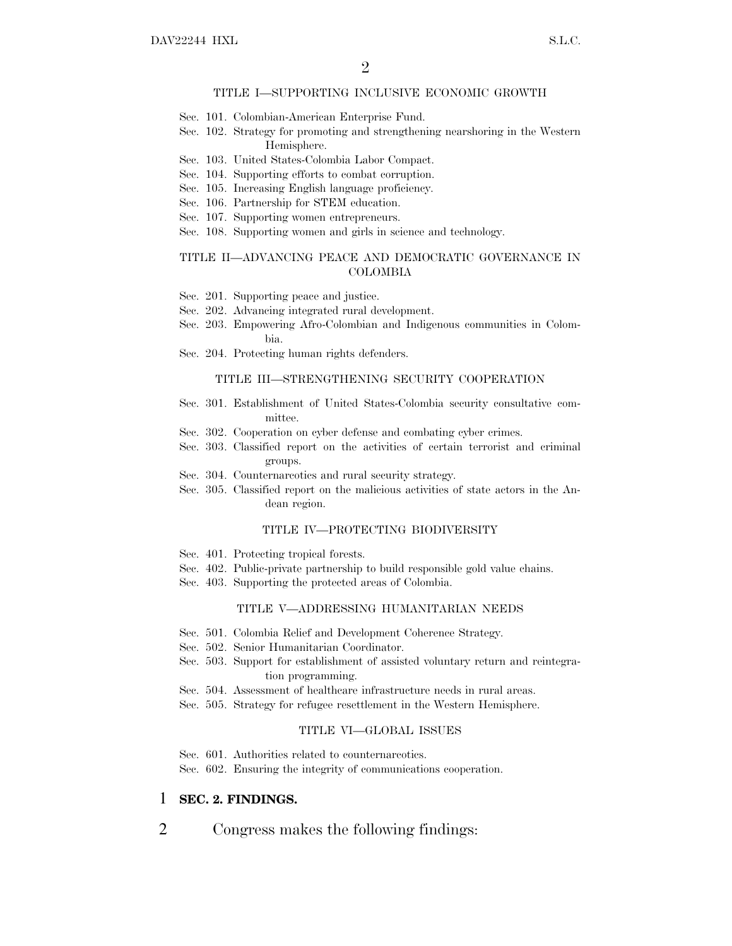#### TITLE I—SUPPORTING INCLUSIVE ECONOMIC GROWTH

- Sec. 101. Colombian-American Enterprise Fund.
- Sec. 102. Strategy for promoting and strengthening nearshoring in the Western Hemisphere.
- Sec. 103. United States-Colombia Labor Compact.
- Sec. 104. Supporting efforts to combat corruption.
- Sec. 105. Increasing English language proficiency.
- Sec. 106. Partnership for STEM education.
- Sec. 107. Supporting women entrepreneurs.
- Sec. 108. Supporting women and girls in science and technology.

#### TITLE II—ADVANCING PEACE AND DEMOCRATIC GOVERNANCE IN COLOMBIA

- Sec. 201. Supporting peace and justice.
- Sec. 202. Advancing integrated rural development.
- Sec. 203. Empowering Afro-Colombian and Indigenous communities in Colombia.
- Sec. 204. Protecting human rights defenders.

#### TITLE III—STRENGTHENING SECURITY COOPERATION

- Sec. 301. Establishment of United States-Colombia security consultative committee.
- Sec. 302. Cooperation on cyber defense and combating cyber crimes.
- Sec. 303. Classified report on the activities of certain terrorist and criminal groups.
- Sec. 304. Counternarcotics and rural security strategy.
- Sec. 305. Classified report on the malicious activities of state actors in the Andean region.

#### TITLE IV—PROTECTING BIODIVERSITY

- Sec. 401. Protecting tropical forests.
- Sec. 402. Public-private partnership to build responsible gold value chains.
- Sec. 403. Supporting the protected areas of Colombia.

#### TITLE V—ADDRESSING HUMANITARIAN NEEDS

- Sec. 501. Colombia Relief and Development Coherence Strategy.
- Sec. 502. Senior Humanitarian Coordinator.
- Sec. 503. Support for establishment of assisted voluntary return and reintegration programming.
- Sec. 504. Assessment of healthcare infrastructure needs in rural areas.
- Sec. 505. Strategy for refugee resettlement in the Western Hemisphere.

#### TITLE VI—GLOBAL ISSUES

Sec. 601. Authorities related to counternarcotics.

Sec. 602. Ensuring the integrity of communications cooperation.

#### 1 **SEC. 2. FINDINGS.**

2 Congress makes the following findings: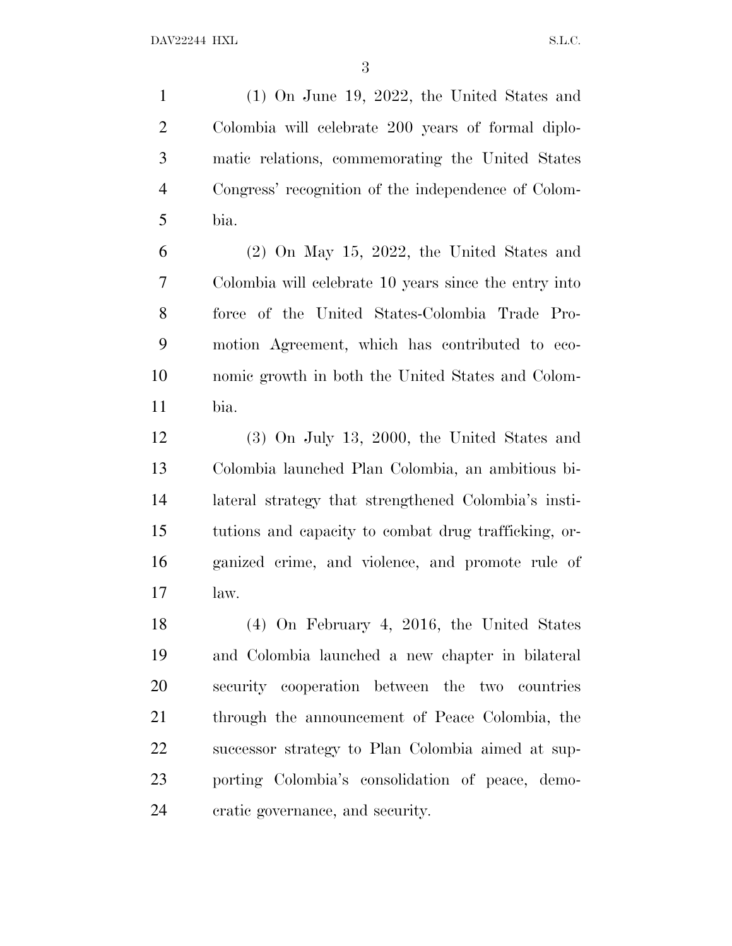(1) On June 19, 2022, the United States and Colombia will celebrate 200 years of formal diplo- matic relations, commemorating the United States Congress' recognition of the independence of Colom-bia.

 (2) On May 15, 2022, the United States and Colombia will celebrate 10 years since the entry into force of the United States-Colombia Trade Pro- motion Agreement, which has contributed to eco- nomic growth in both the United States and Colom-bia.

 (3) On July 13, 2000, the United States and Colombia launched Plan Colombia, an ambitious bi- lateral strategy that strengthened Colombia's insti- tutions and capacity to combat drug trafficking, or- ganized crime, and violence, and promote rule of law.

 (4) On February 4, 2016, the United States and Colombia launched a new chapter in bilateral security cooperation between the two countries through the announcement of Peace Colombia, the successor strategy to Plan Colombia aimed at sup- porting Colombia's consolidation of peace, demo-cratic governance, and security.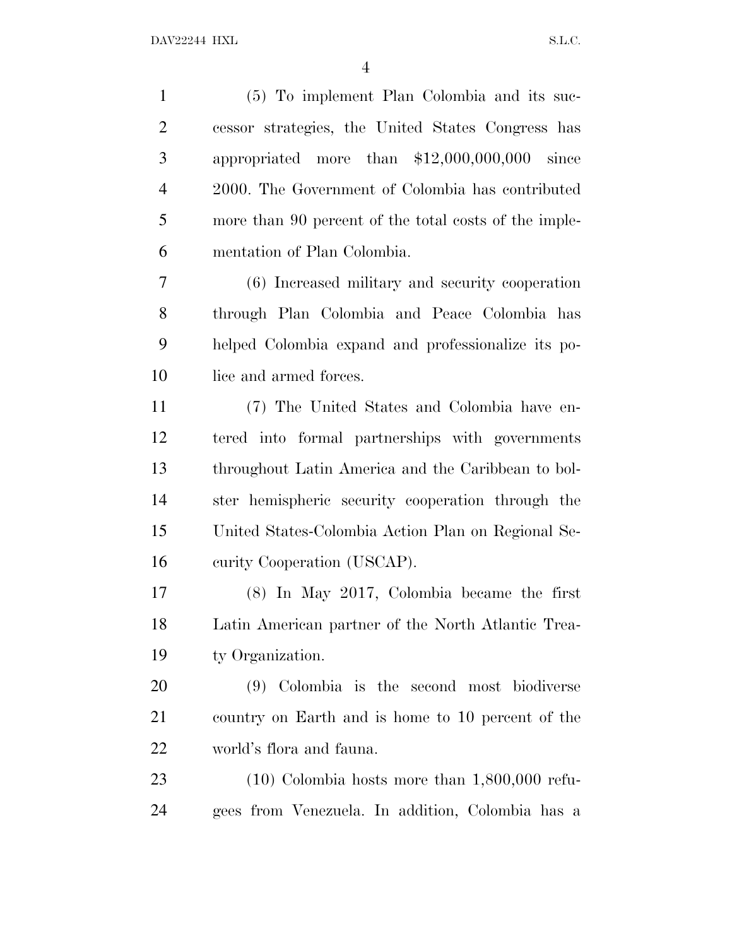| $\mathbf{1}$   | (5) To implement Plan Colombia and its suc-           |
|----------------|-------------------------------------------------------|
| $\overline{2}$ | cessor strategies, the United States Congress has     |
| 3              | appropriated more than $$12,000,000,000$ since        |
| $\overline{4}$ | 2000. The Government of Colombia has contributed      |
| 5              | more than 90 percent of the total costs of the imple- |
| 6              | mentation of Plan Colombia.                           |
| 7              | (6) Increased military and security cooperation       |
| 8              | through Plan Colombia and Peace Colombia has          |
| 9              | helped Colombia expand and professionalize its po-    |
| 10             | lice and armed forces.                                |
| 11             | (7) The United States and Colombia have en-           |
| 12             | tered into formal partnerships with governments       |
| 13             | throughout Latin America and the Caribbean to bol-    |
| 14             | ster hemispheric security cooperation through the     |
| 15             | United States-Colombia Action Plan on Regional Se-    |
| 16             | curity Cooperation (USCAP).                           |
| 17             | $(8)$ In May 2017, Colombia became the first          |
| 18             | Latin American partner of the North Atlantic Trea-    |
| 19             | ty Organization.                                      |
| 20             | (9) Colombia is the second most biodiverse            |
| 21             | country on Earth and is home to 10 percent of the     |
| 22             | world's flora and fauna.                              |
| 23             | $(10)$ Colombia hosts more than $1,800,000$ refu-     |
| 24             | gees from Venezuela. In addition, Colombia has a      |
|                |                                                       |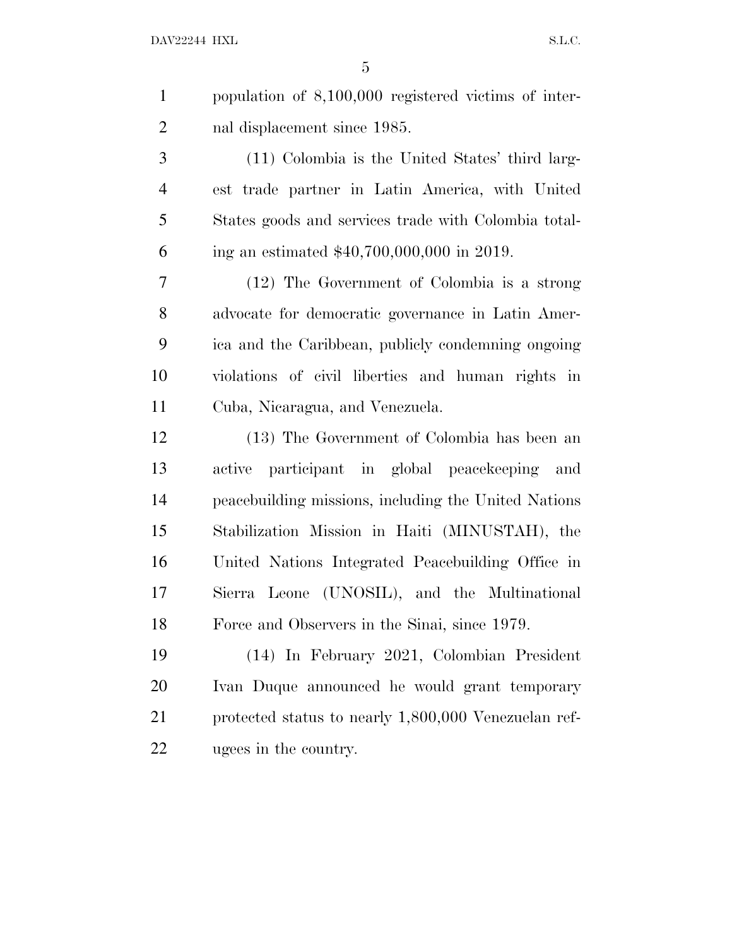population of 8,100,000 registered victims of inter-nal displacement since 1985.

 (11) Colombia is the United States' third larg- est trade partner in Latin America, with United States goods and services trade with Colombia total-ing an estimated \$40,700,000,000 in 2019.

 (12) The Government of Colombia is a strong advocate for democratic governance in Latin Amer- ica and the Caribbean, publicly condemning ongoing violations of civil liberties and human rights in Cuba, Nicaragua, and Venezuela.

 (13) The Government of Colombia has been an active participant in global peacekeeping and peacebuilding missions, including the United Nations Stabilization Mission in Haiti (MINUSTAH), the United Nations Integrated Peacebuilding Office in Sierra Leone (UNOSIL), and the Multinational Force and Observers in the Sinai, since 1979.

 (14) In February 2021, Colombian President Ivan Duque announced he would grant temporary protected status to nearly 1,800,000 Venezuelan ref-ugees in the country.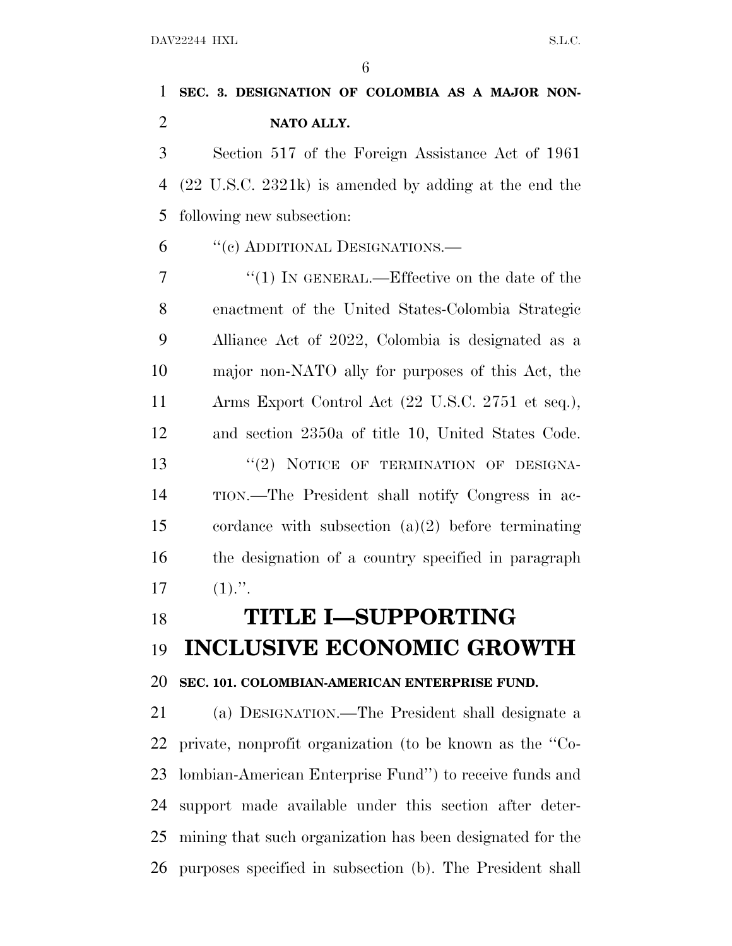### **SEC. 3. DESIGNATION OF COLOMBIA AS A MAJOR NON-NATO ALLY.**

 Section 517 of the Foreign Assistance Act of 1961 (22 U.S.C. 2321k) is amended by adding at the end the following new subsection:

''(c) ADDITIONAL DESIGNATIONS.—

7 "(1) IN GENERAL.—Effective on the date of the enactment of the United States-Colombia Strategic Alliance Act of 2022, Colombia is designated as a major non-NATO ally for purposes of this Act, the Arms Export Control Act (22 U.S.C. 2751 et seq.), and section 2350a of title 10, United States Code. 13 "(2) NOTICE OF TERMINATION OF DESIGNA- TION.—The President shall notify Congress in ac- cordance with subsection (a)(2) before terminating the designation of a country specified in paragraph  $17 \t(1)."$ .

# **TITLE I—SUPPORTING INCLUSIVE ECONOMIC GROWTH SEC. 101. COLOMBIAN-AMERICAN ENTERPRISE FUND.**

 (a) DESIGNATION.—The President shall designate a private, nonprofit organization (to be known as the ''Co- lombian-American Enterprise Fund'') to receive funds and support made available under this section after deter- mining that such organization has been designated for the purposes specified in subsection (b). The President shall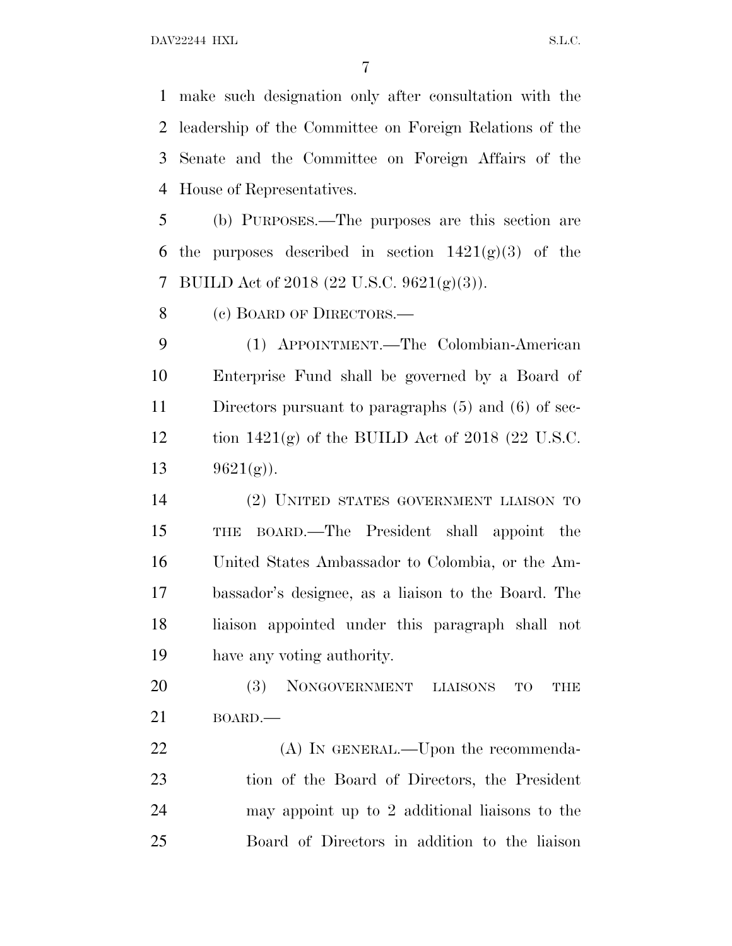make such designation only after consultation with the leadership of the Committee on Foreign Relations of the Senate and the Committee on Foreign Affairs of the House of Representatives.

 (b) PURPOSES.—The purposes are this section are 6 the purposes described in section  $1421(g)(3)$  of the BUILD Act of 2018 (22 U.S.C. 9621(g)(3)).

8 (c) BOARD OF DIRECTORS.—

 (1) APPOINTMENT.—The Colombian-American Enterprise Fund shall be governed by a Board of Directors pursuant to paragraphs (5) and (6) of sec-12 tion  $1421(g)$  of the BUILD Act of 2018 (22 U.S.C.  $9621(\text{g})$ .

 (2) UNITED STATES GOVERNMENT LIAISON TO THE BOARD.—The President shall appoint the United States Ambassador to Colombia, or the Am- bassador's designee, as a liaison to the Board. The liaison appointed under this paragraph shall not have any voting authority.

 (3) NONGOVERNMENT LIAISONS TO THE BOARD.—

22 (A) IN GENERAL.—Upon the recommenda- tion of the Board of Directors, the President may appoint up to 2 additional liaisons to the Board of Directors in addition to the liaison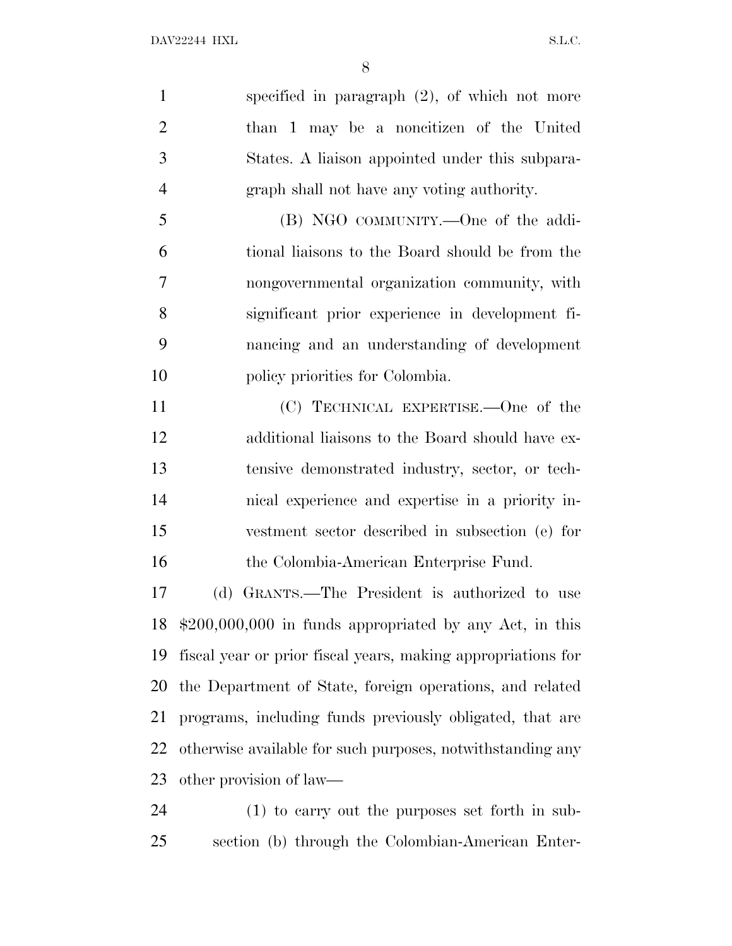specified in paragraph (2), of which not more than 1 may be a noncitizen of the United States. A liaison appointed under this subpara-graph shall not have any voting authority.

 (B) NGO COMMUNITY.—One of the addi- tional liaisons to the Board should be from the nongovernmental organization community, with significant prior experience in development fi- nancing and an understanding of development 10 policy priorities for Colombia.

 (C) TECHNICAL EXPERTISE.—One of the additional liaisons to the Board should have ex- tensive demonstrated industry, sector, or tech- nical experience and expertise in a priority in- vestment sector described in subsection (e) for the Colombia-American Enterprise Fund.

 (d) GRANTS.—The President is authorized to use \$200,000,000 in funds appropriated by any Act, in this fiscal year or prior fiscal years, making appropriations for the Department of State, foreign operations, and related programs, including funds previously obligated, that are otherwise available for such purposes, notwithstanding any other provision of law—

 (1) to carry out the purposes set forth in sub-section (b) through the Colombian-American Enter-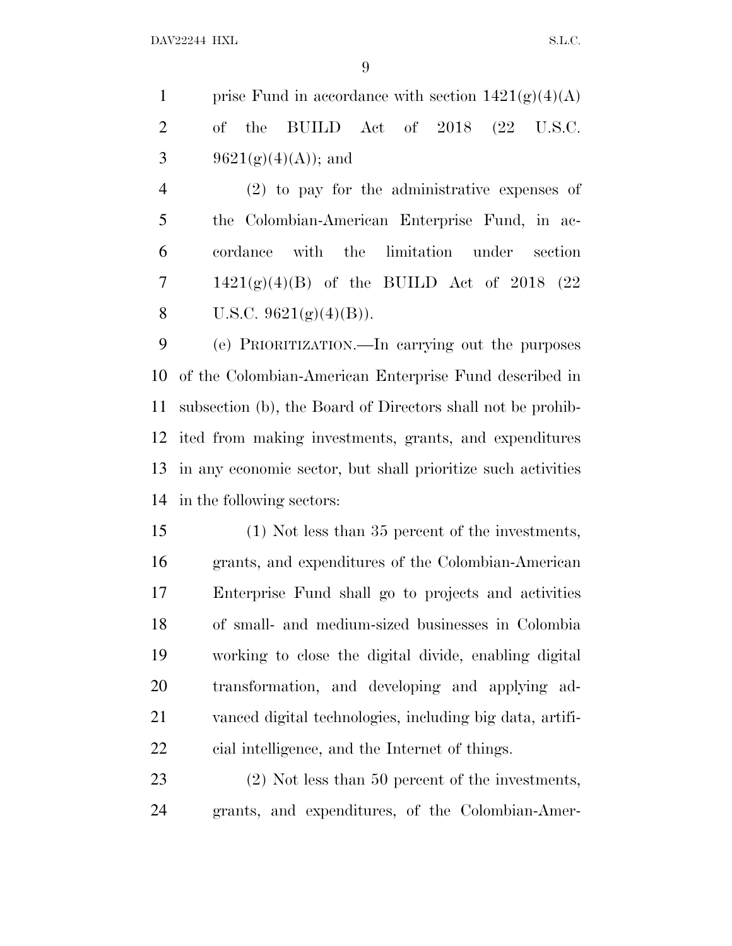|                |  | 1 prise Fund in accordance with section $1421(g)(4)(A)$ |  |  |  |
|----------------|--|---------------------------------------------------------|--|--|--|
|                |  | 2 of the BUILD Act of $2018$ $(22 \text{ U.S.C.})$      |  |  |  |
| $\overline{3}$ |  | $-9621(g)(4)(A)$ ; and                                  |  |  |  |

 (2) to pay for the administrative expenses of the Colombian-American Enterprise Fund, in ac- cordance with the limitation under section 7 1421(g)(4)(B) of the BUILD Act of 2018 (22 8 U.S.C.  $9621(g)(4)(B)$ .

 (e) PRIORITIZATION.—In carrying out the purposes of the Colombian-American Enterprise Fund described in subsection (b), the Board of Directors shall not be prohib- ited from making investments, grants, and expenditures in any economic sector, but shall prioritize such activities in the following sectors:

 (1) Not less than 35 percent of the investments, grants, and expenditures of the Colombian-American Enterprise Fund shall go to projects and activities of small- and medium-sized businesses in Colombia working to close the digital divide, enabling digital transformation, and developing and applying ad- vanced digital technologies, including big data, artifi-cial intelligence, and the Internet of things.

 (2) Not less than 50 percent of the investments, grants, and expenditures, of the Colombian-Amer-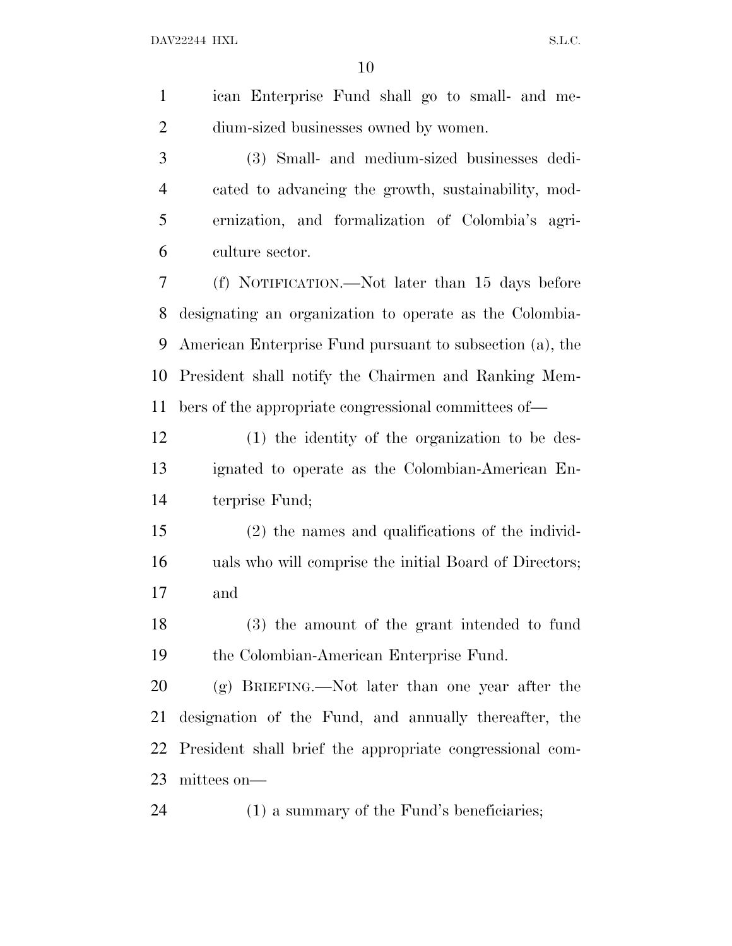| $\mathbf{1}$   | ican Enterprise Fund shall go to small- and me-          |
|----------------|----------------------------------------------------------|
| $\overline{2}$ | dium-sized businesses owned by women.                    |
| 3              | (3) Small- and medium-sized businesses dedi-             |
| $\overline{4}$ | cated to advancing the growth, sustainability, mod-      |
| 5              | ernization, and formalization of Colombia's agri-        |
| 6              | culture sector.                                          |
| 7              | (f) NOTIFICATION.—Not later than 15 days before          |
| 8              | designating an organization to operate as the Colombia-  |
| 9              | American Enterprise Fund pursuant to subsection (a), the |
| 10             | President shall notify the Chairmen and Ranking Mem-     |
| 11             | bers of the appropriate congressional committees of—     |
| 12             | (1) the identity of the organization to be des-          |
| 13             | ignated to operate as the Colombian-American En-         |
| 14             | terprise Fund;                                           |
| 15             | $(2)$ the names and qualifications of the individ-       |
| 16             | uals who will comprise the initial Board of Directors;   |
| 17             | and                                                      |
| 18             | (3) the amount of the grant intended to fund             |
| 19             | the Colombian-American Enterprise Fund.                  |
| 20             | (g) BRIEFING.—Not later than one year after the          |
| 21             | designation of the Fund, and annually thereafter, the    |
| 22             | President shall brief the appropriate congressional com- |
| 23             | mittees on-                                              |
| 24             | $(1)$ a summary of the Fund's beneficiaries;             |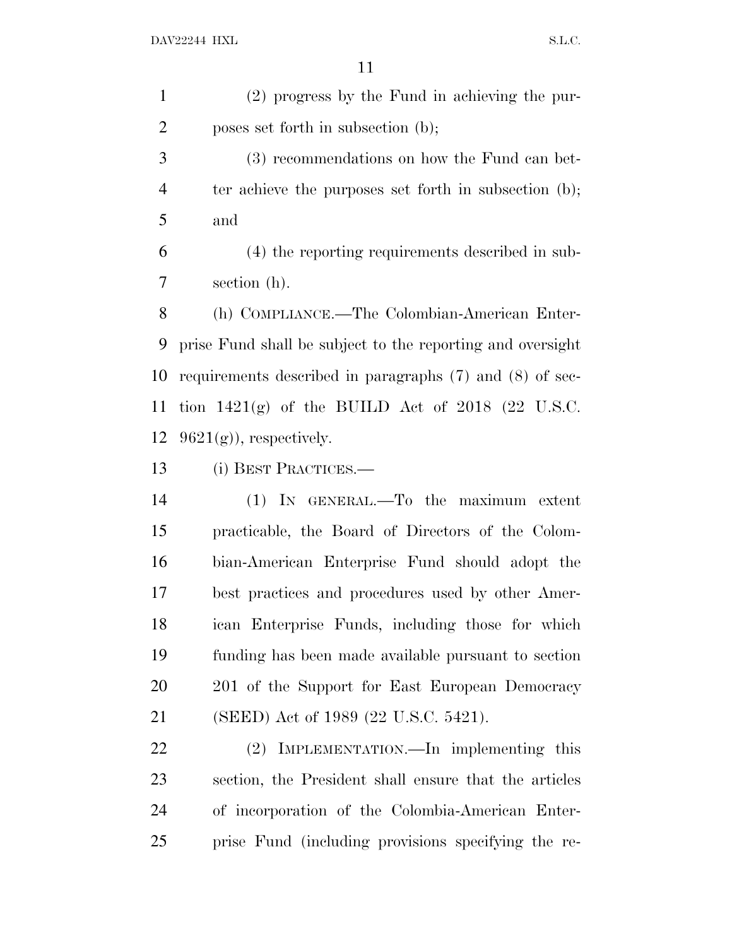(2) progress by the Fund in achieving the pur-poses set forth in subsection (b);

 (3) recommendations on how the Fund can bet- ter achieve the purposes set forth in subsection (b); and

 (4) the reporting requirements described in sub-section (h).

 (h) COMPLIANCE.—The Colombian-American Enter- prise Fund shall be subject to the reporting and oversight requirements described in paragraphs (7) and (8) of sec- tion 1421(g) of the BUILD Act of 2018 (22 U.S.C.  $9621(g)$ , respectively.

(i) BEST PRACTICES.—

 (1) IN GENERAL.—To the maximum extent practicable, the Board of Directors of the Colom- bian-American Enterprise Fund should adopt the best practices and procedures used by other Amer- ican Enterprise Funds, including those for which funding has been made available pursuant to section 201 of the Support for East European Democracy (SEED) Act of 1989 (22 U.S.C. 5421).

 (2) IMPLEMENTATION.—In implementing this section, the President shall ensure that the articles of incorporation of the Colombia-American Enter-prise Fund (including provisions specifying the re-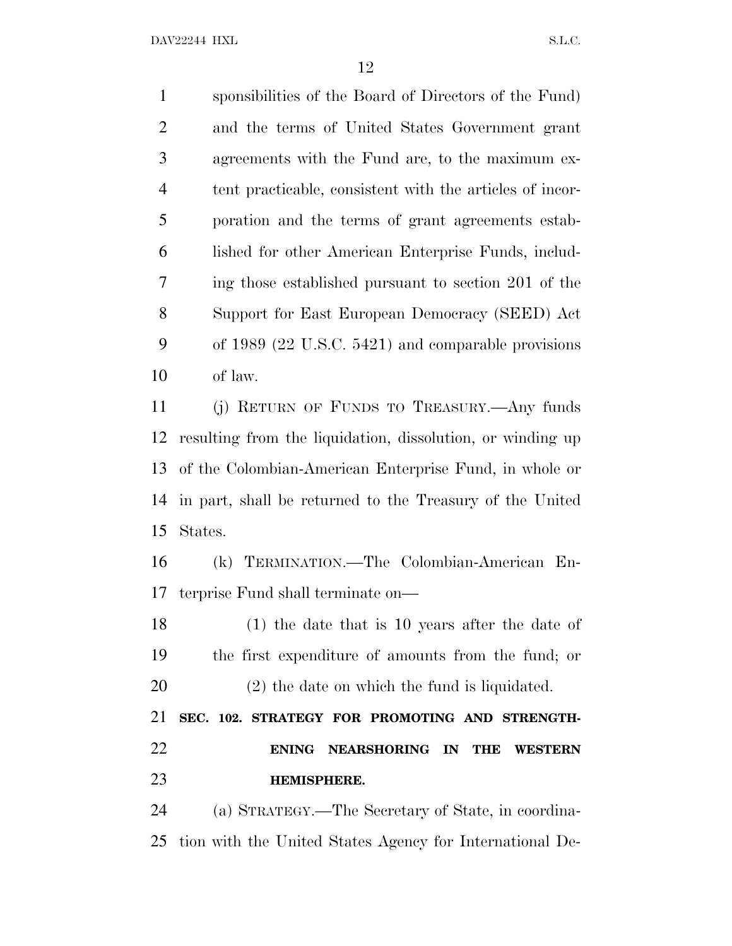sponsibilities of the Board of Directors of the Fund) and the terms of United States Government grant agreements with the Fund are, to the maximum ex- tent practicable, consistent with the articles of incor- poration and the terms of grant agreements estab- lished for other American Enterprise Funds, includ- ing those established pursuant to section 201 of the Support for East European Democracy (SEED) Act of 1989 (22 U.S.C. 5421) and comparable provisions of law. (j) RETURN OF FUNDS TO TREASURY.—Any funds

 resulting from the liquidation, dissolution, or winding up of the Colombian-American Enterprise Fund, in whole or in part, shall be returned to the Treasury of the United States.

 (k) TERMINATION.—The Colombian-American En-terprise Fund shall terminate on—

 (1) the date that is 10 years after the date of the first expenditure of amounts from the fund; or (2) the date on which the fund is liquidated.

 **SEC. 102. STRATEGY FOR PROMOTING AND STRENGTH- ENING NEARSHORING IN THE WESTERN HEMISPHERE.**

 (a) STRATEGY.—The Secretary of State, in coordina-tion with the United States Agency for International De-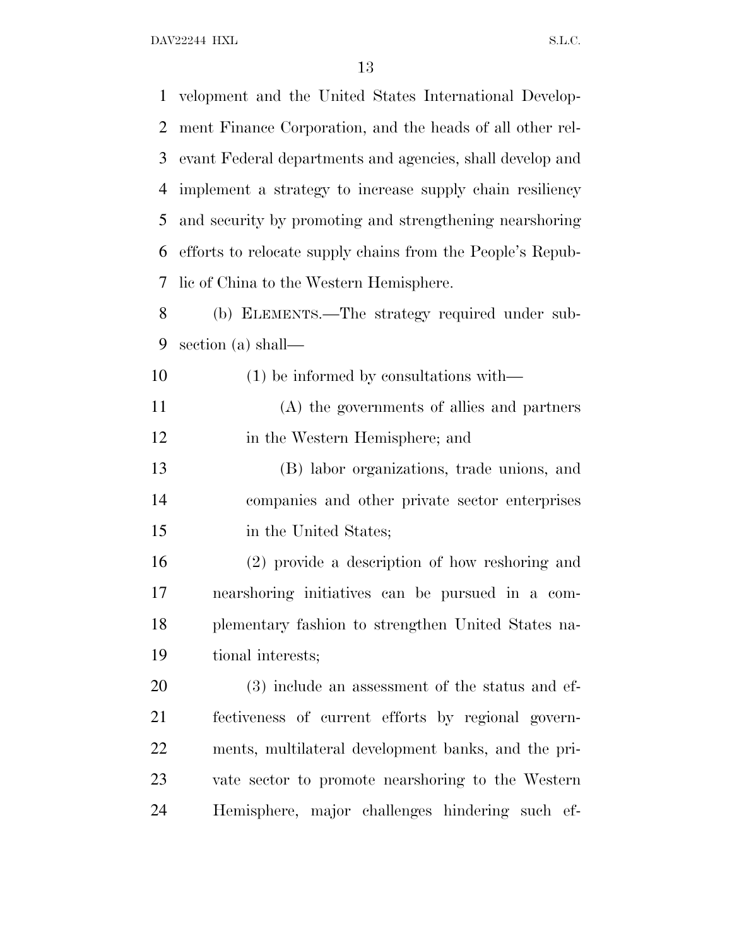velopment and the United States International Develop- ment Finance Corporation, and the heads of all other rel- evant Federal departments and agencies, shall develop and implement a strategy to increase supply chain resiliency and security by promoting and strengthening nearshoring efforts to relocate supply chains from the People's Repub- lic of China to the Western Hemisphere. (b) ELEMENTS.—The strategy required under sub- section (a) shall— (1) be informed by consultations with— (A) the governments of allies and partners in the Western Hemisphere; and (B) labor organizations, trade unions, and companies and other private sector enterprises in the United States; (2) provide a description of how reshoring and nearshoring initiatives can be pursued in a com- plementary fashion to strengthen United States na- tional interests; (3) include an assessment of the status and ef- fectiveness of current efforts by regional govern- ments, multilateral development banks, and the pri- vate sector to promote nearshoring to the Western Hemisphere, major challenges hindering such ef-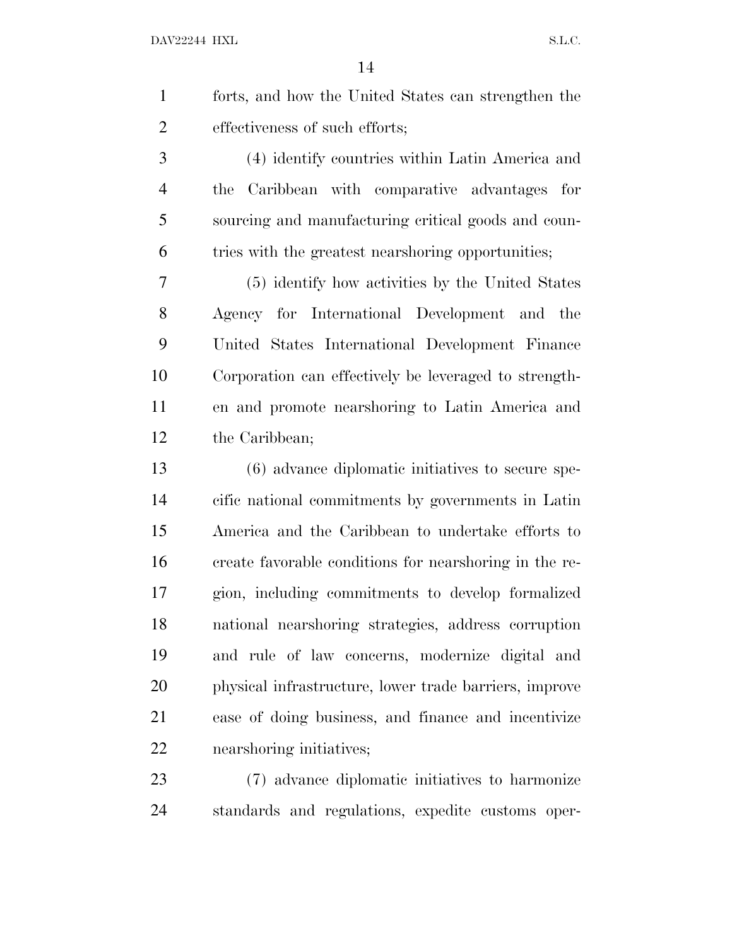| forts, and how the United States can strengthen the |
|-----------------------------------------------------|
| effectiveness of such efforts;                      |

 (4) identify countries within Latin America and the Caribbean with comparative advantages for sourcing and manufacturing critical goods and coun-tries with the greatest nearshoring opportunities;

 (5) identify how activities by the United States Agency for International Development and the United States International Development Finance Corporation can effectively be leveraged to strength- en and promote nearshoring to Latin America and the Caribbean;

 (6) advance diplomatic initiatives to secure spe- cific national commitments by governments in Latin America and the Caribbean to undertake efforts to create favorable conditions for nearshoring in the re- gion, including commitments to develop formalized national nearshoring strategies, address corruption and rule of law concerns, modernize digital and physical infrastructure, lower trade barriers, improve ease of doing business, and finance and incentivize nearshoring initiatives;

 (7) advance diplomatic initiatives to harmonize standards and regulations, expedite customs oper-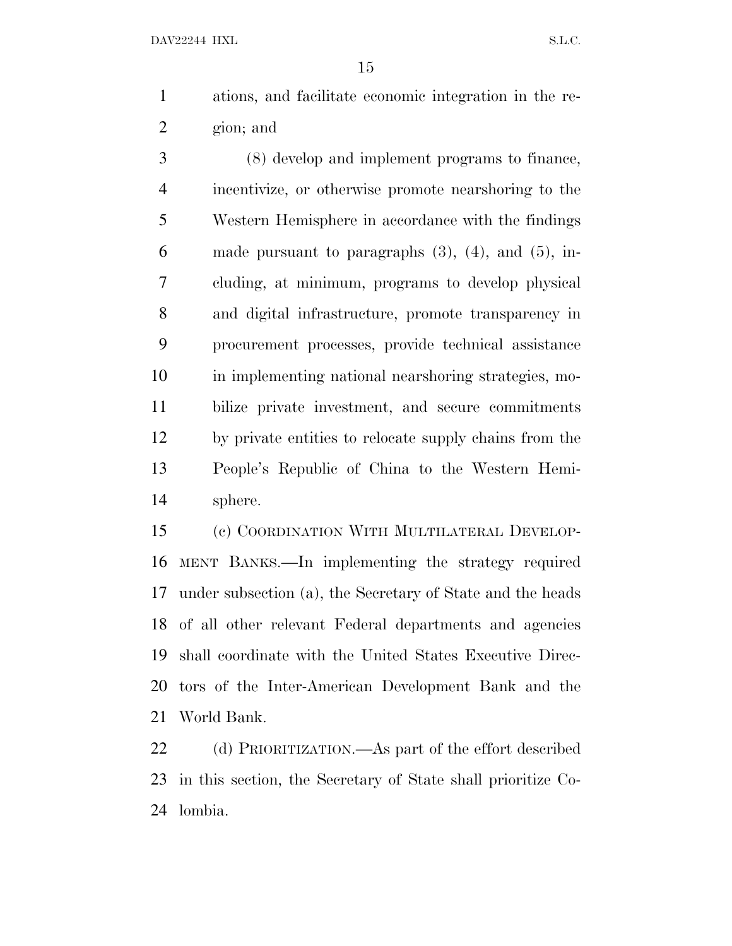ations, and facilitate economic integration in the re-gion; and

 (8) develop and implement programs to finance, incentivize, or otherwise promote nearshoring to the Western Hemisphere in accordance with the findings 6 made pursuant to paragraphs  $(3)$ ,  $(4)$ , and  $(5)$ , in- cluding, at minimum, programs to develop physical and digital infrastructure, promote transparency in procurement processes, provide technical assistance in implementing national nearshoring strategies, mo- bilize private investment, and secure commitments by private entities to relocate supply chains from the People's Republic of China to the Western Hemi-sphere.

 (c) COORDINATION WITH MULTILATERAL DEVELOP- MENT BANKS.—In implementing the strategy required under subsection (a), the Secretary of State and the heads of all other relevant Federal departments and agencies shall coordinate with the United States Executive Direc- tors of the Inter-American Development Bank and the World Bank.

 (d) PRIORITIZATION.—As part of the effort described in this section, the Secretary of State shall prioritize Co-lombia.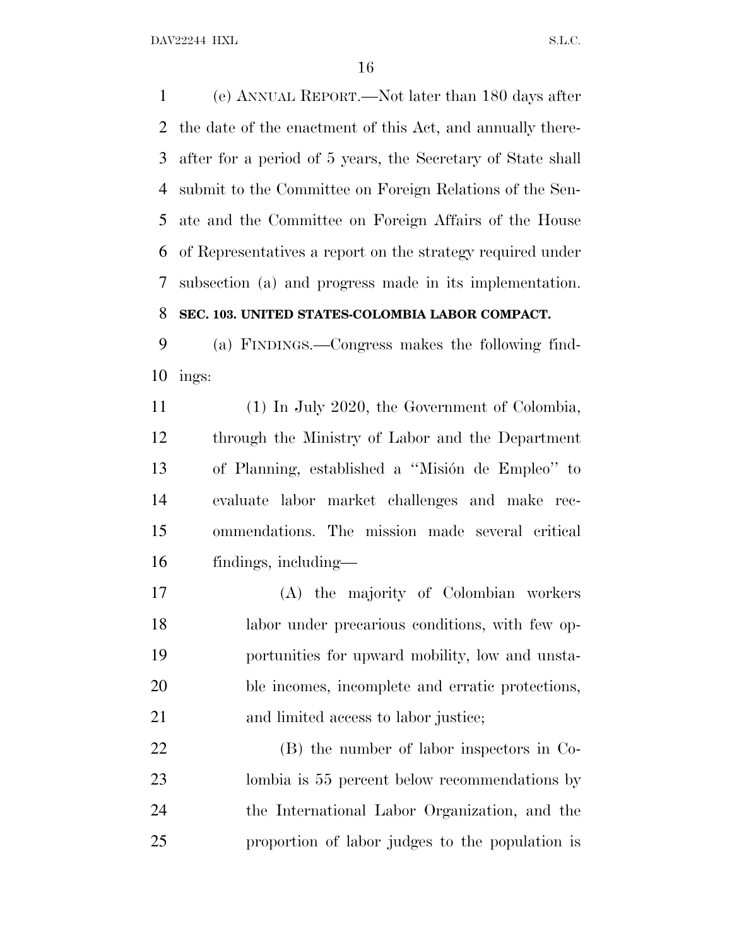(e) ANNUAL REPORT.—Not later than 180 days after the date of the enactment of this Act, and annually there- after for a period of 5 years, the Secretary of State shall submit to the Committee on Foreign Relations of the Sen- ate and the Committee on Foreign Affairs of the House of Representatives a report on the strategy required under subsection (a) and progress made in its implementation.

### **SEC. 103. UNITED STATES-COLOMBIA LABOR COMPACT.**

 (a) FINDINGS.—Congress makes the following find-ings:

 (1) In July 2020, the Government of Colombia, through the Ministry of Labor and the Department 13 of Planning, established a "Misión de Empleo" to evaluate labor market challenges and make rec- ommendations. The mission made several critical findings, including—

 (A) the majority of Colombian workers labor under precarious conditions, with few op- portunities for upward mobility, low and unsta- ble incomes, incomplete and erratic protections, and limited access to labor justice;

 (B) the number of labor inspectors in Co- lombia is 55 percent below recommendations by the International Labor Organization, and the proportion of labor judges to the population is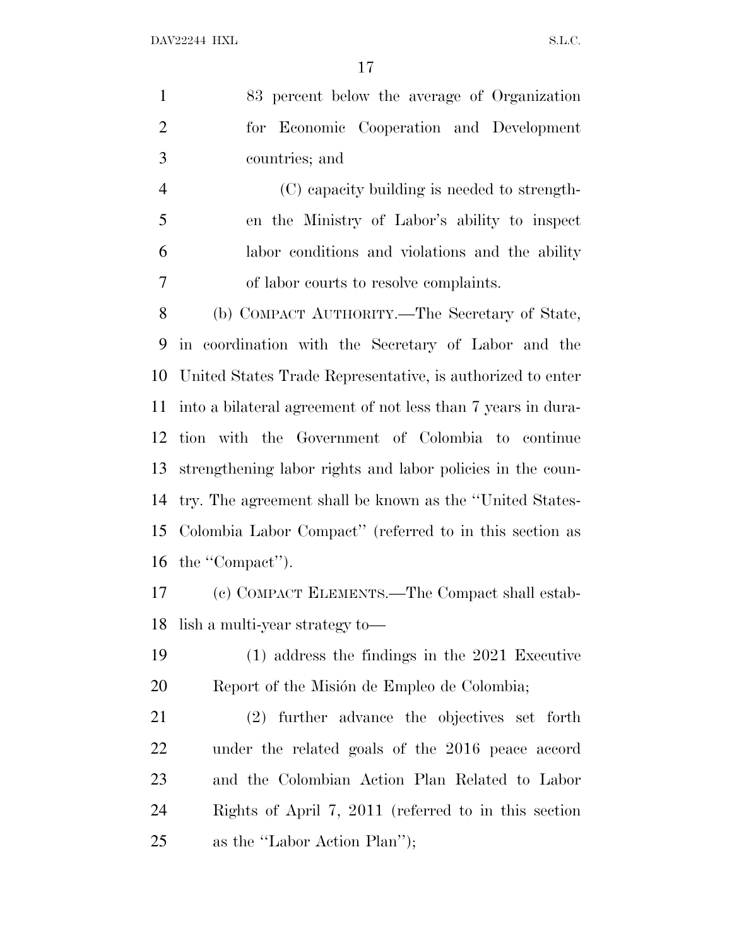83 percent below the average of Organization for Economic Cooperation and Development countries; and

 (C) capacity building is needed to strength- en the Ministry of Labor's ability to inspect labor conditions and violations and the ability of labor courts to resolve complaints.

 (b) COMPACT AUTHORITY.—The Secretary of State, in coordination with the Secretary of Labor and the United States Trade Representative, is authorized to enter into a bilateral agreement of not less than 7 years in dura- tion with the Government of Colombia to continue strengthening labor rights and labor policies in the coun- try. The agreement shall be known as the ''United States- Colombia Labor Compact'' (referred to in this section as the ''Compact'').

 (c) COMPACT ELEMENTS.—The Compact shall estab-lish a multi-year strategy to—

 (1) address the findings in the 2021 Executive 20 Report of the Misión de Empleo de Colombia;

 (2) further advance the objectives set forth under the related goals of the 2016 peace accord and the Colombian Action Plan Related to Labor Rights of April 7, 2011 (referred to in this section as the ''Labor Action Plan'');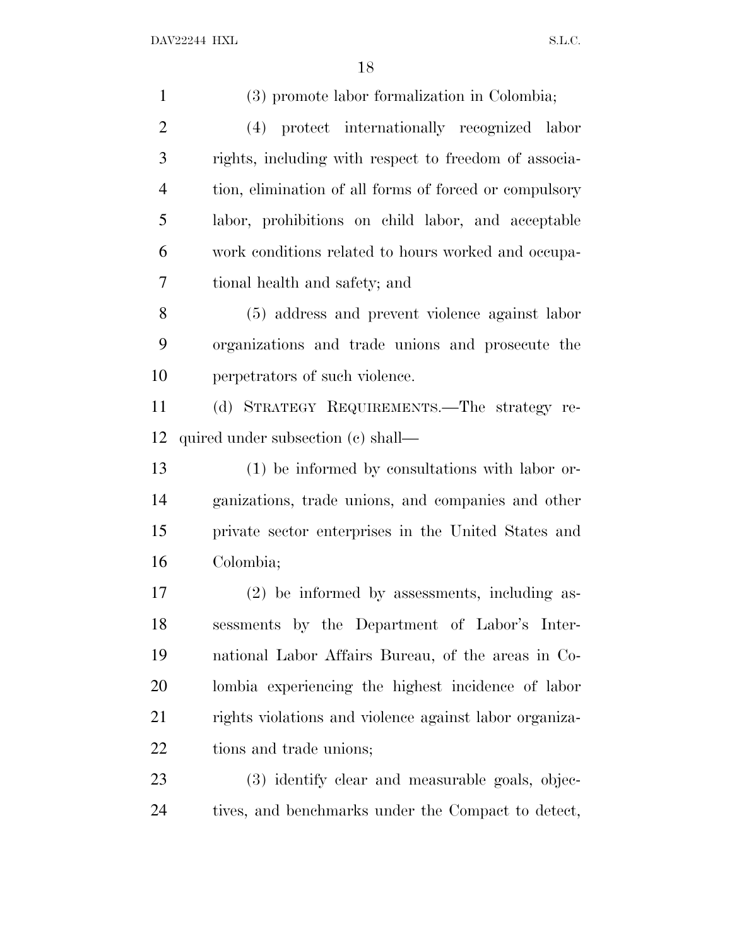| $\mathbf{1}$   | (3) promote labor formalization in Colombia;           |
|----------------|--------------------------------------------------------|
| $\overline{2}$ | (4) protect internationally recognized labor           |
| 3              | rights, including with respect to freedom of associa-  |
| $\overline{4}$ | tion, elimination of all forms of forced or compulsory |
| 5              | labor, prohibitions on child labor, and acceptable     |
| 6              | work conditions related to hours worked and occupa-    |
| 7              | tional health and safety; and                          |
| 8              | (5) address and prevent violence against labor         |
| 9              | organizations and trade unions and prosecute the       |
| 10             | perpetrators of such violence.                         |
| 11             | (d) STRATEGY REQUIREMENTS.—The strategy re-            |
| 12             | quired under subsection (c) shall—                     |
| 13             | (1) be informed by consultations with labor or-        |
| 14             | ganizations, trade unions, and companies and other     |
| 15             | private sector enterprises in the United States and    |
| 16             | Colombia;                                              |
| 17             | (2) be informed by assessments, including as-          |
| 18             | sessments by the Department of Labor's Inter-          |
| 19             | national Labor Affairs Bureau, of the areas in Co-     |
| 20             | lombia experiencing the highest incidence of labor     |
| 21             |                                                        |
|                | rights violations and violence against labor organiza- |
| 22             | tions and trade unions;                                |
| 23             | (3) identify clear and measurable goals, objec-        |
| 24             | tives, and benchmarks under the Compact to detect,     |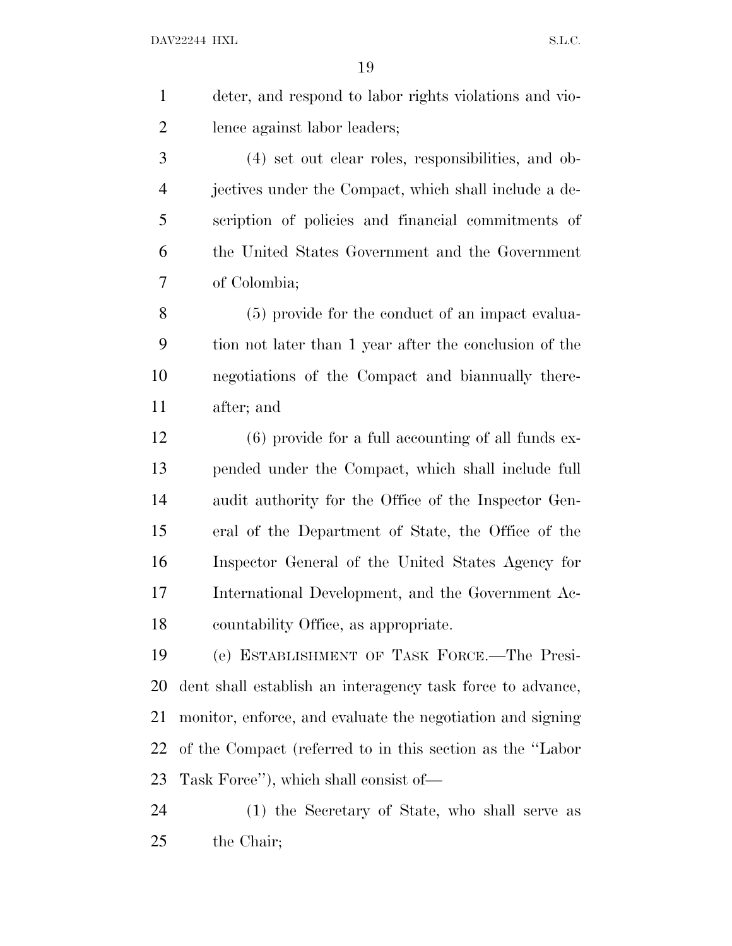| 1              | deter, and respond to labor rights violations and vio- |
|----------------|--------------------------------------------------------|
| $\overline{2}$ | lence against labor leaders;                           |
| 3              | (4) set out clear roles, responsibilities, and ob-     |
| 4              | jectives under the Compact, which shall include a de-  |
| 5              | scription of policies and financial commitments of     |
| 6              | the United States Government and the Government        |
| 7              | of Colombia;                                           |
| 8              | (5) provide for the conduct of an impact evalua-       |
| 9              | tion not later than 1 year after the conclusion of the |
| 10             | negotiations of the Compact and biannually there-      |
| 11             | after; and                                             |
|                |                                                        |

 (6) provide for a full accounting of all funds ex- pended under the Compact, which shall include full audit authority for the Office of the Inspector Gen- eral of the Department of State, the Office of the Inspector General of the United States Agency for International Development, and the Government Ac-countability Office, as appropriate.

 (e) ESTABLISHMENT OF TASK FORCE.—The Presi- dent shall establish an interagency task force to advance, monitor, enforce, and evaluate the negotiation and signing of the Compact (referred to in this section as the ''Labor Task Force''), which shall consist of—

 (1) the Secretary of State, who shall serve as the Chair;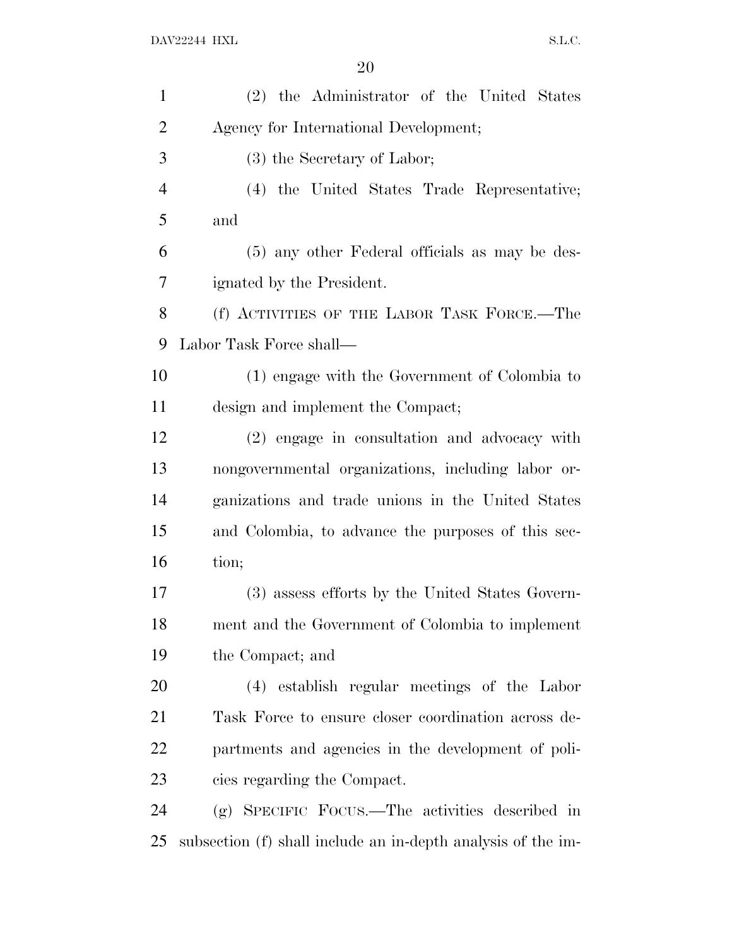| $\mathbf{1}$   | (2) the Administrator of the United States                   |
|----------------|--------------------------------------------------------------|
| $\overline{2}$ | Agency for International Development;                        |
| 3              | (3) the Secretary of Labor;                                  |
| $\overline{4}$ | (4) the United States Trade Representative;                  |
| 5              | and                                                          |
| 6              | (5) any other Federal officials as may be des-               |
| 7              | ignated by the President.                                    |
| 8              | (f) ACTIVITIES OF THE LABOR TASK FORCE.—The                  |
| 9              | Labor Task Force shall—                                      |
| 10             | (1) engage with the Government of Colombia to                |
| 11             | design and implement the Compact;                            |
| 12             | (2) engage in consultation and advocacy with                 |
| 13             | nongovernmental organizations, including labor or-           |
| 14             | ganizations and trade unions in the United States            |
| 15             | and Colombia, to advance the purposes of this sec-           |
| 16             | tion;                                                        |
| 17             | (3) assess efforts by the United States Govern-              |
| 18             | ment and the Government of Colombia to implement             |
| 19             | the Compact; and                                             |
| 20             | (4) establish regular meetings of the Labor                  |
| 21             | Task Force to ensure closer coordination across de-          |
| 22             | partments and agencies in the development of poli-           |
| 23             | cies regarding the Compact.                                  |
| 24             | (g) SPECIFIC FOCUS.—The activities described in              |
| 25             | subsection (f) shall include an in-depth analysis of the im- |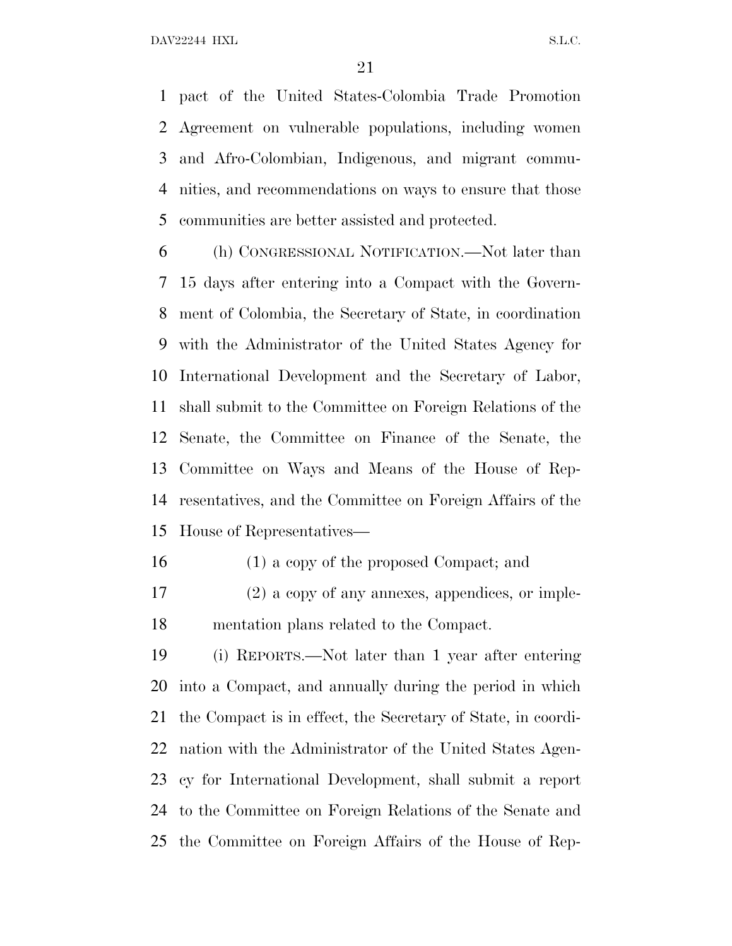pact of the United States-Colombia Trade Promotion Agreement on vulnerable populations, including women and Afro-Colombian, Indigenous, and migrant commu- nities, and recommendations on ways to ensure that those communities are better assisted and protected.

 (h) CONGRESSIONAL NOTIFICATION.—Not later than 15 days after entering into a Compact with the Govern- ment of Colombia, the Secretary of State, in coordination with the Administrator of the United States Agency for International Development and the Secretary of Labor, shall submit to the Committee on Foreign Relations of the Senate, the Committee on Finance of the Senate, the Committee on Ways and Means of the House of Rep- resentatives, and the Committee on Foreign Affairs of the House of Representatives—

- (1) a copy of the proposed Compact; and
- (2) a copy of any annexes, appendices, or imple-mentation plans related to the Compact.

 (i) REPORTS.—Not later than 1 year after entering into a Compact, and annually during the period in which the Compact is in effect, the Secretary of State, in coordi- nation with the Administrator of the United States Agen- cy for International Development, shall submit a report to the Committee on Foreign Relations of the Senate and the Committee on Foreign Affairs of the House of Rep-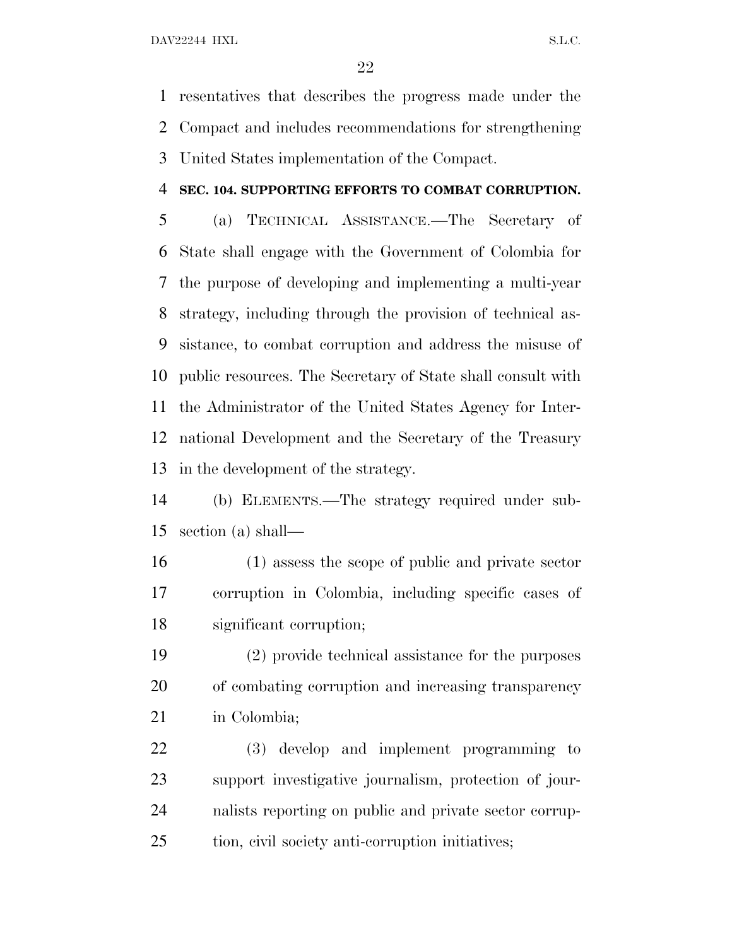resentatives that describes the progress made under the Compact and includes recommendations for strengthening United States implementation of the Compact.

#### **SEC. 104. SUPPORTING EFFORTS TO COMBAT CORRUPTION.**

 (a) TECHNICAL ASSISTANCE.—The Secretary of State shall engage with the Government of Colombia for the purpose of developing and implementing a multi-year strategy, including through the provision of technical as- sistance, to combat corruption and address the misuse of public resources. The Secretary of State shall consult with the Administrator of the United States Agency for Inter- national Development and the Secretary of the Treasury in the development of the strategy.

 (b) ELEMENTS.—The strategy required under sub-section (a) shall—

 (1) assess the scope of public and private sector corruption in Colombia, including specific cases of significant corruption;

 (2) provide technical assistance for the purposes of combating corruption and increasing transparency in Colombia;

 (3) develop and implement programming to support investigative journalism, protection of jour- nalists reporting on public and private sector corrup-tion, civil society anti-corruption initiatives;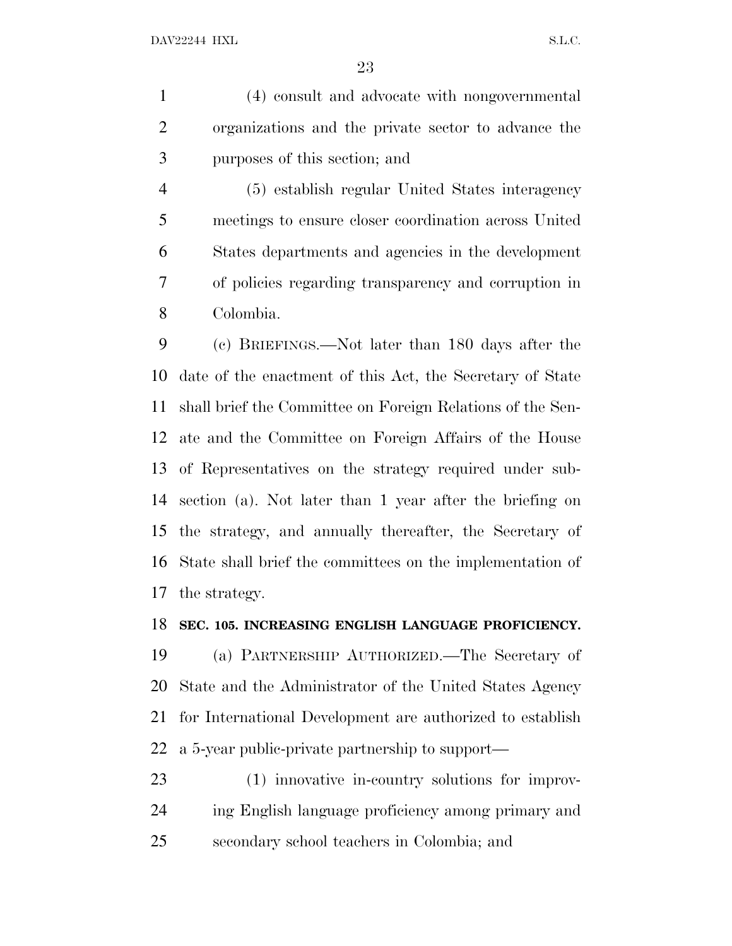(4) consult and advocate with nongovernmental organizations and the private sector to advance the purposes of this section; and

 (5) establish regular United States interagency meetings to ensure closer coordination across United States departments and agencies in the development of policies regarding transparency and corruption in Colombia.

 (c) BRIEFINGS.—Not later than 180 days after the date of the enactment of this Act, the Secretary of State shall brief the Committee on Foreign Relations of the Sen- ate and the Committee on Foreign Affairs of the House of Representatives on the strategy required under sub- section (a). Not later than 1 year after the briefing on the strategy, and annually thereafter, the Secretary of State shall brief the committees on the implementation of the strategy.

#### **SEC. 105. INCREASING ENGLISH LANGUAGE PROFICIENCY.**

 (a) PARTNERSHIP AUTHORIZED.—The Secretary of State and the Administrator of the United States Agency for International Development are authorized to establish a 5-year public-private partnership to support—

 (1) innovative in-country solutions for improv- ing English language proficiency among primary and secondary school teachers in Colombia; and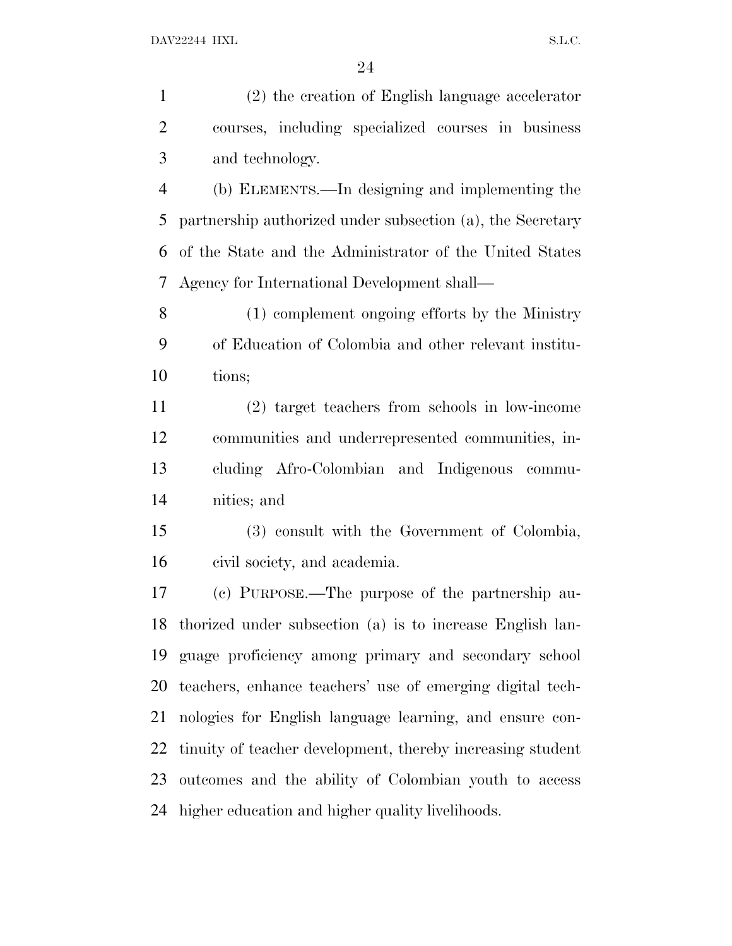(2) the creation of English language accelerator courses, including specialized courses in business and technology.

 (b) ELEMENTS.—In designing and implementing the partnership authorized under subsection (a), the Secretary of the State and the Administrator of the United States Agency for International Development shall—

 (1) complement ongoing efforts by the Ministry of Education of Colombia and other relevant institu-tions;

 (2) target teachers from schools in low-income communities and underrepresented communities, in- cluding Afro-Colombian and Indigenous commu-nities; and

 (3) consult with the Government of Colombia, civil society, and academia.

 (c) PURPOSE.—The purpose of the partnership au- thorized under subsection (a) is to increase English lan- guage proficiency among primary and secondary school teachers, enhance teachers' use of emerging digital tech- nologies for English language learning, and ensure con- tinuity of teacher development, thereby increasing student outcomes and the ability of Colombian youth to access higher education and higher quality livelihoods.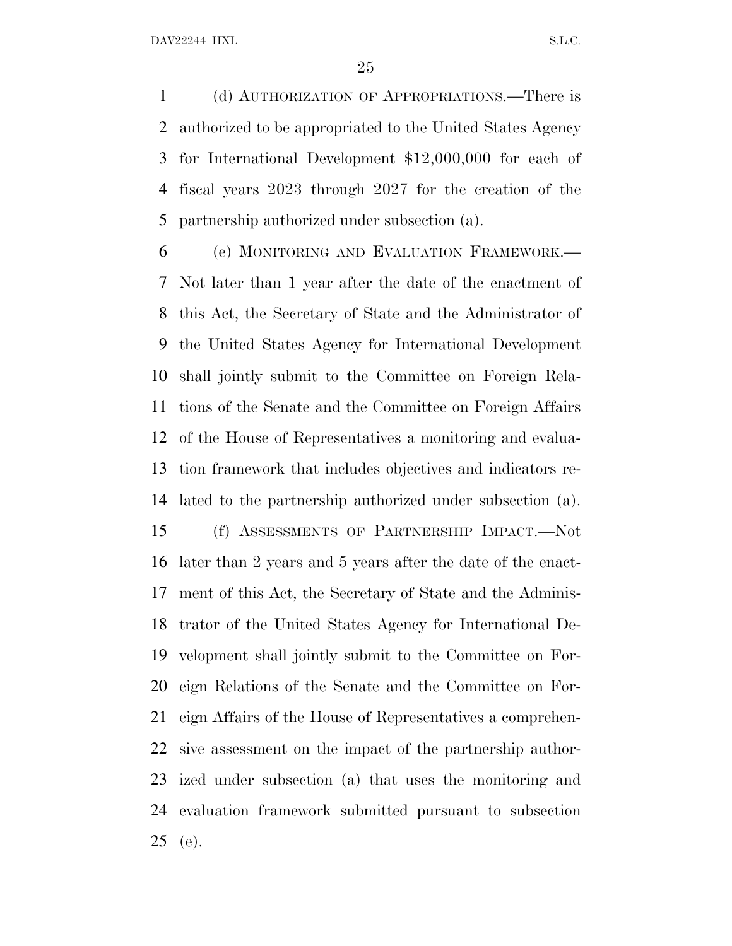(d) AUTHORIZATION OF APPROPRIATIONS.—There is authorized to be appropriated to the United States Agency for International Development \$12,000,000 for each of fiscal years 2023 through 2027 for the creation of the partnership authorized under subsection (a).

 (e) MONITORING AND EVALUATION FRAMEWORK.— Not later than 1 year after the date of the enactment of this Act, the Secretary of State and the Administrator of the United States Agency for International Development shall jointly submit to the Committee on Foreign Rela- tions of the Senate and the Committee on Foreign Affairs of the House of Representatives a monitoring and evalua- tion framework that includes objectives and indicators re-lated to the partnership authorized under subsection (a).

 (f) ASSESSMENTS OF PARTNERSHIP IMPACT.—Not later than 2 years and 5 years after the date of the enact- ment of this Act, the Secretary of State and the Adminis- trator of the United States Agency for International De- velopment shall jointly submit to the Committee on For- eign Relations of the Senate and the Committee on For- eign Affairs of the House of Representatives a comprehen- sive assessment on the impact of the partnership author- ized under subsection (a) that uses the monitoring and evaluation framework submitted pursuant to subsection (e).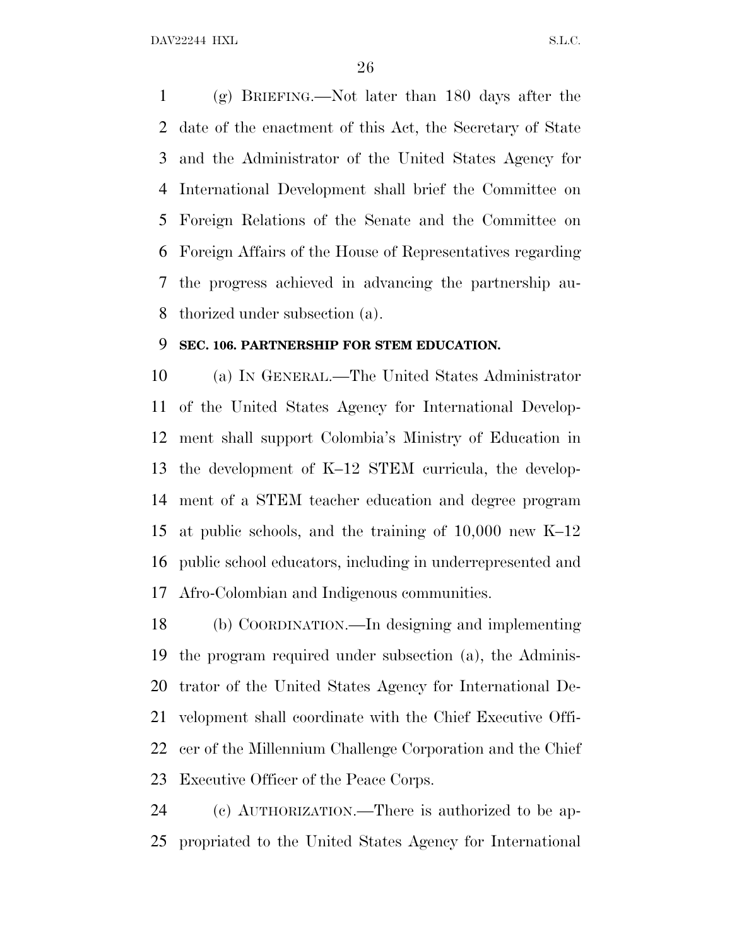DAV22244 HXL S.L.C.

 (g) BRIEFING.—Not later than 180 days after the date of the enactment of this Act, the Secretary of State and the Administrator of the United States Agency for International Development shall brief the Committee on Foreign Relations of the Senate and the Committee on Foreign Affairs of the House of Representatives regarding the progress achieved in advancing the partnership au-thorized under subsection (a).

#### **SEC. 106. PARTNERSHIP FOR STEM EDUCATION.**

 (a) I<sup>N</sup> GENERAL.—The United States Administrator of the United States Agency for International Develop- ment shall support Colombia's Ministry of Education in the development of K–12 STEM curricula, the develop- ment of a STEM teacher education and degree program at public schools, and the training of 10,000 new K–12 public school educators, including in underrepresented and Afro-Colombian and Indigenous communities.

 (b) COORDINATION.—In designing and implementing the program required under subsection (a), the Adminis- trator of the United States Agency for International De- velopment shall coordinate with the Chief Executive Offi- cer of the Millennium Challenge Corporation and the Chief Executive Officer of the Peace Corps.

 (c) AUTHORIZATION.—There is authorized to be ap-propriated to the United States Agency for International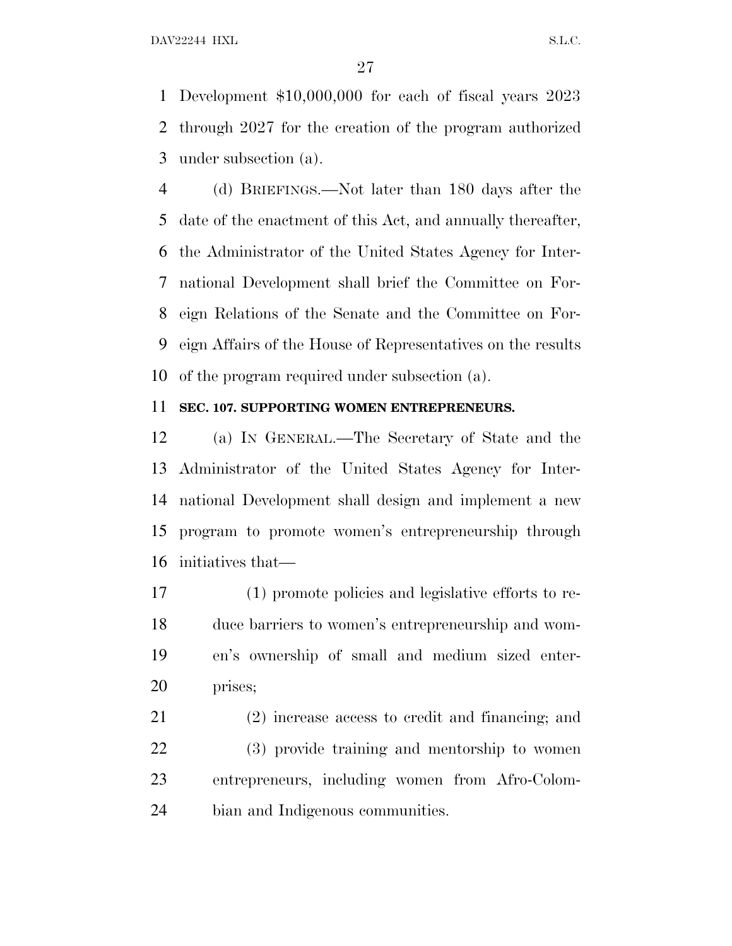DAV22244 HXL S.L.C.

 Development \$10,000,000 for each of fiscal years 2023 through 2027 for the creation of the program authorized under subsection (a).

 (d) BRIEFINGS.—Not later than 180 days after the date of the enactment of this Act, and annually thereafter, the Administrator of the United States Agency for Inter- national Development shall brief the Committee on For- eign Relations of the Senate and the Committee on For- eign Affairs of the House of Representatives on the results of the program required under subsection (a).

#### **SEC. 107. SUPPORTING WOMEN ENTREPRENEURS.**

 (a) I<sup>N</sup> GENERAL.—The Secretary of State and the Administrator of the United States Agency for Inter- national Development shall design and implement a new program to promote women's entrepreneurship through initiatives that—

 (1) promote policies and legislative efforts to re- duce barriers to women's entrepreneurship and wom- en's ownership of small and medium sized enter-prises;

 (2) increase access to credit and financing; and (3) provide training and mentorship to women entrepreneurs, including women from Afro-Colom-bian and Indigenous communities.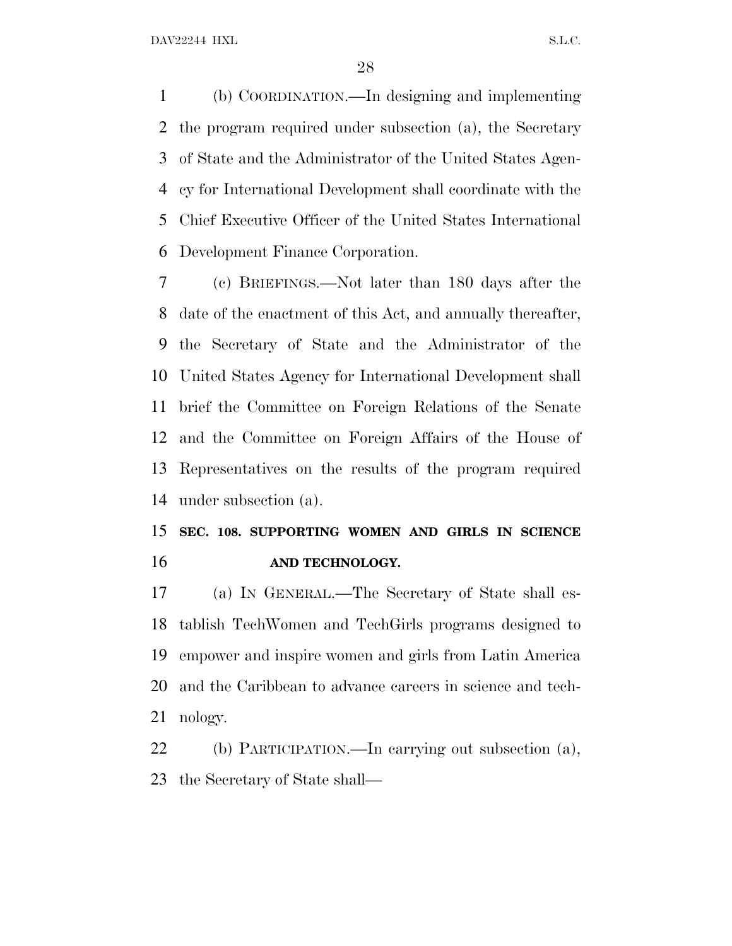(b) COORDINATION.—In designing and implementing the program required under subsection (a), the Secretary of State and the Administrator of the United States Agen- cy for International Development shall coordinate with the Chief Executive Officer of the United States International Development Finance Corporation.

 (c) BRIEFINGS.—Not later than 180 days after the date of the enactment of this Act, and annually thereafter, the Secretary of State and the Administrator of the United States Agency for International Development shall brief the Committee on Foreign Relations of the Senate and the Committee on Foreign Affairs of the House of Representatives on the results of the program required under subsection (a).

### **SEC. 108. SUPPORTING WOMEN AND GIRLS IN SCIENCE AND TECHNOLOGY.**

 (a) I<sup>N</sup> GENERAL.—The Secretary of State shall es- tablish TechWomen and TechGirls programs designed to empower and inspire women and girls from Latin America and the Caribbean to advance careers in science and tech-nology.

 (b) PARTICIPATION.—In carrying out subsection (a), the Secretary of State shall—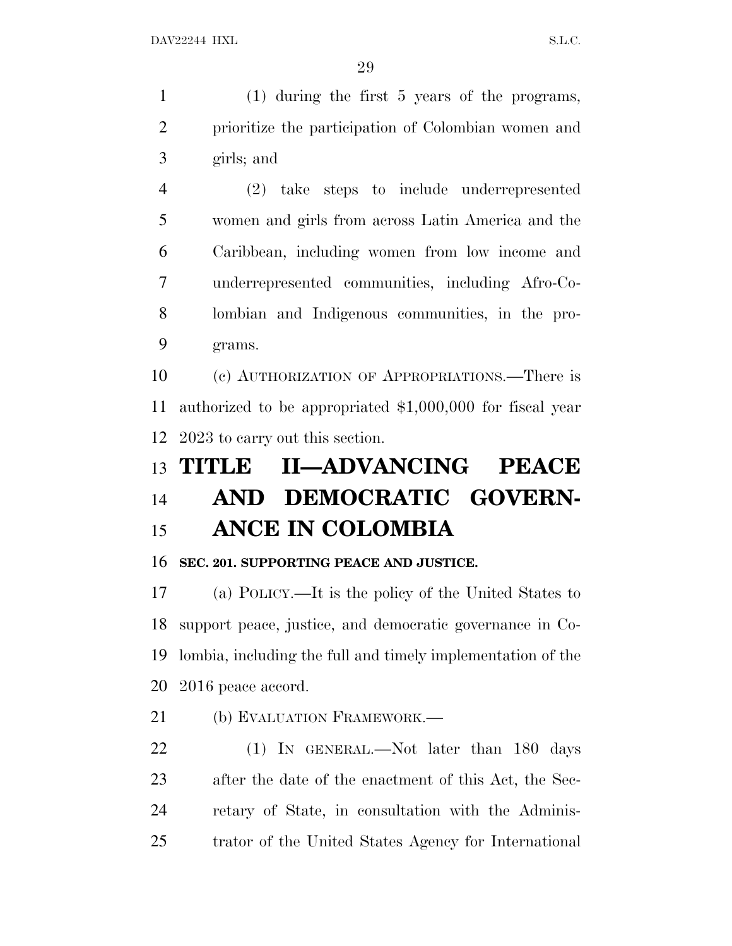(1) during the first 5 years of the programs, prioritize the participation of Colombian women and girls; and

 (2) take steps to include underrepresented women and girls from across Latin America and the Caribbean, including women from low income and underrepresented communities, including Afro-Co- lombian and Indigenous communities, in the pro-grams.

 (c) AUTHORIZATION OF APPROPRIATIONS.—There is authorized to be appropriated \$1,000,000 for fiscal year 2023 to carry out this section.

# **TITLE II—ADVANCING PEACE AND DEMOCRATIC GOVERN-ANCE IN COLOMBIA**

### **SEC. 201. SUPPORTING PEACE AND JUSTICE.**

 (a) POLICY.—It is the policy of the United States to support peace, justice, and democratic governance in Co- lombia, including the full and timely implementation of the 2016 peace accord.

21 (b) EVALUATION FRAMEWORK.—

22 (1) IN GENERAL.—Not later than 180 days after the date of the enactment of this Act, the Sec- retary of State, in consultation with the Adminis-trator of the United States Agency for International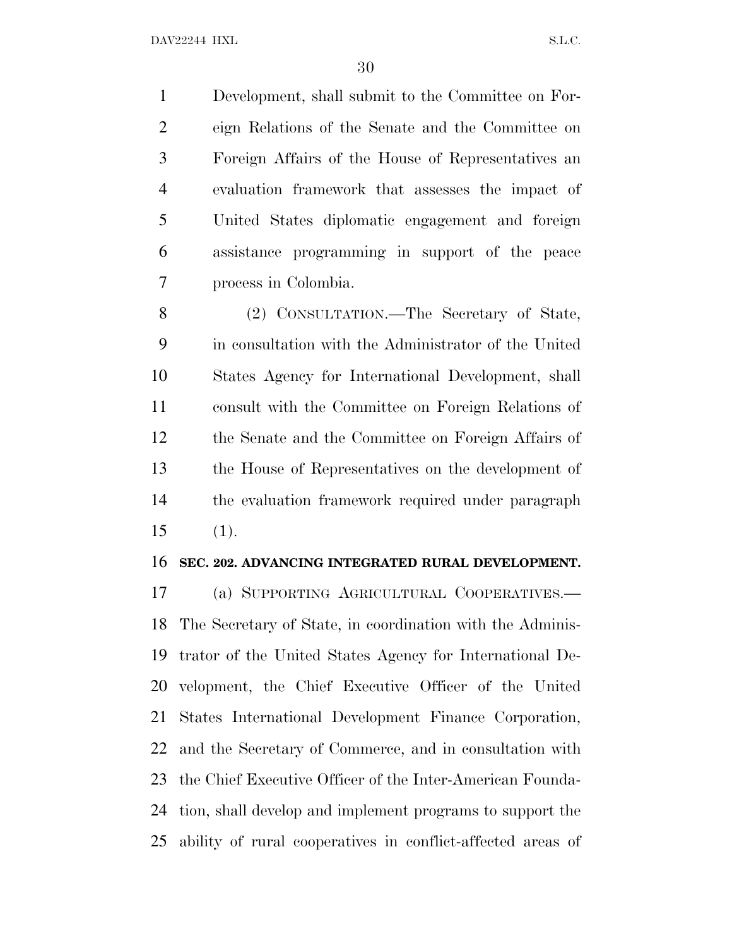Development, shall submit to the Committee on For- eign Relations of the Senate and the Committee on Foreign Affairs of the House of Representatives an evaluation framework that assesses the impact of United States diplomatic engagement and foreign assistance programming in support of the peace process in Colombia.

 (2) CONSULTATION.—The Secretary of State, in consultation with the Administrator of the United States Agency for International Development, shall consult with the Committee on Foreign Relations of the Senate and the Committee on Foreign Affairs of the House of Representatives on the development of the evaluation framework required under paragraph (1).

#### **SEC. 202. ADVANCING INTEGRATED RURAL DEVELOPMENT.**

 (a) SUPPORTING AGRICULTURAL COOPERATIVES.— The Secretary of State, in coordination with the Adminis- trator of the United States Agency for International De- velopment, the Chief Executive Officer of the United States International Development Finance Corporation, and the Secretary of Commerce, and in consultation with the Chief Executive Officer of the Inter-American Founda- tion, shall develop and implement programs to support the ability of rural cooperatives in conflict-affected areas of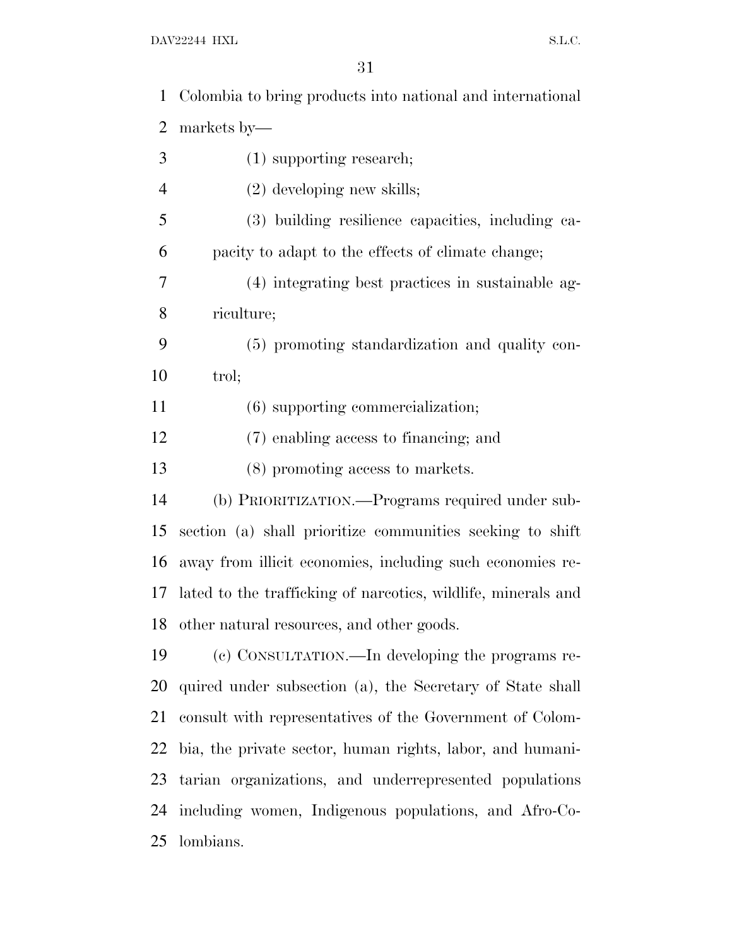| $\mathbf 1$    | Colombia to bring products into national and international    |
|----------------|---------------------------------------------------------------|
| $\overline{2}$ | markets by—                                                   |
| 3              | $(1)$ supporting research;                                    |
| $\overline{4}$ | $(2)$ developing new skills;                                  |
| 5              | (3) building resilience capacities, including ca-             |
| 6              | pacity to adapt to the effects of climate change;             |
| 7              | (4) integrating best practices in sustainable ag-             |
| 8              | riculture;                                                    |
| 9              | (5) promoting standardization and quality con-                |
| 10             | trol;                                                         |
| 11             | (6) supporting commercialization;                             |
| 12             | (7) enabling access to financing; and                         |
| 13             | (8) promoting access to markets.                              |
| 14             | (b) PRIORITIZATION.—Programs required under sub-              |
| 15             | section (a) shall prioritize communities seeking to shift     |
| 16             | away from illicit economies, including such economies re-     |
| 17             | lated to the trafficking of narcotics, wildlife, minerals and |
|                | 18 other natural resources, and other goods.                  |
| 19             | (c) CONSULTATION.—In developing the programs re-              |
| 20             | quired under subsection (a), the Secretary of State shall     |
| 21             | consult with representatives of the Government of Colom-      |
| 22             | bia, the private sector, human rights, labor, and humani-     |
| 23             | tarian organizations, and underrepresented populations        |
| 24             | including women, Indigenous populations, and Afro-Co-         |
| 25             | lombians.                                                     |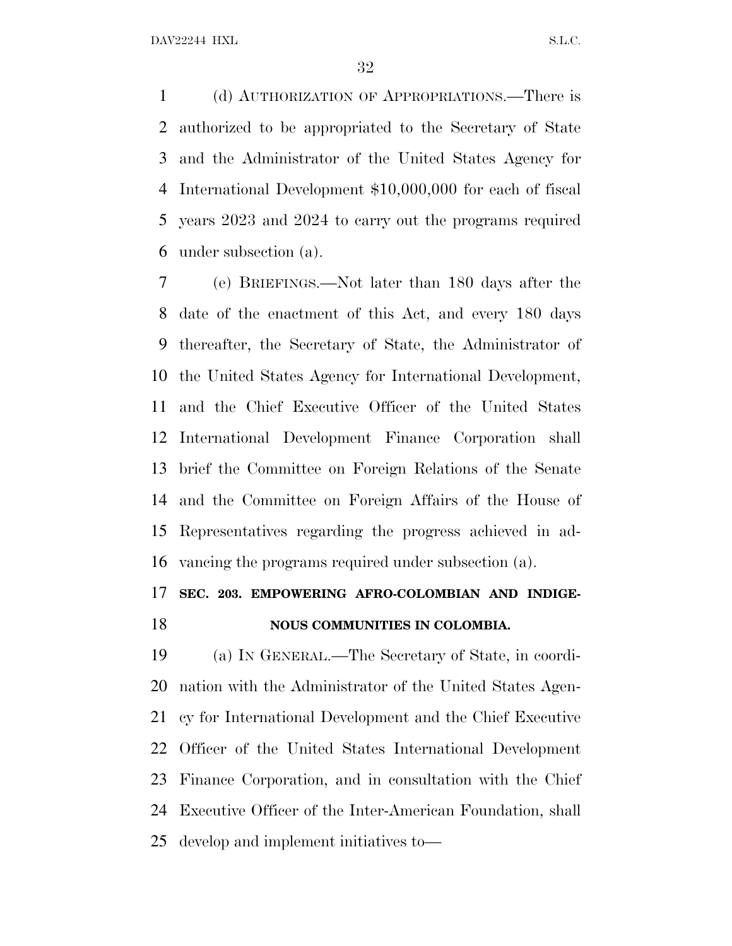(d) AUTHORIZATION OF APPROPRIATIONS.—There is authorized to be appropriated to the Secretary of State and the Administrator of the United States Agency for International Development \$10,000,000 for each of fiscal years 2023 and 2024 to carry out the programs required under subsection (a).

 (e) BRIEFINGS.—Not later than 180 days after the date of the enactment of this Act, and every 180 days thereafter, the Secretary of State, the Administrator of the United States Agency for International Development, and the Chief Executive Officer of the United States International Development Finance Corporation shall brief the Committee on Foreign Relations of the Senate and the Committee on Foreign Affairs of the House of Representatives regarding the progress achieved in ad-vancing the programs required under subsection (a).

## **SEC. 203. EMPOWERING AFRO-COLOMBIAN AND INDIGE-**

#### **NOUS COMMUNITIES IN COLOMBIA.**

 (a) I<sup>N</sup> GENERAL.—The Secretary of State, in coordi- nation with the Administrator of the United States Agen- cy for International Development and the Chief Executive Officer of the United States International Development Finance Corporation, and in consultation with the Chief Executive Officer of the Inter-American Foundation, shall develop and implement initiatives to—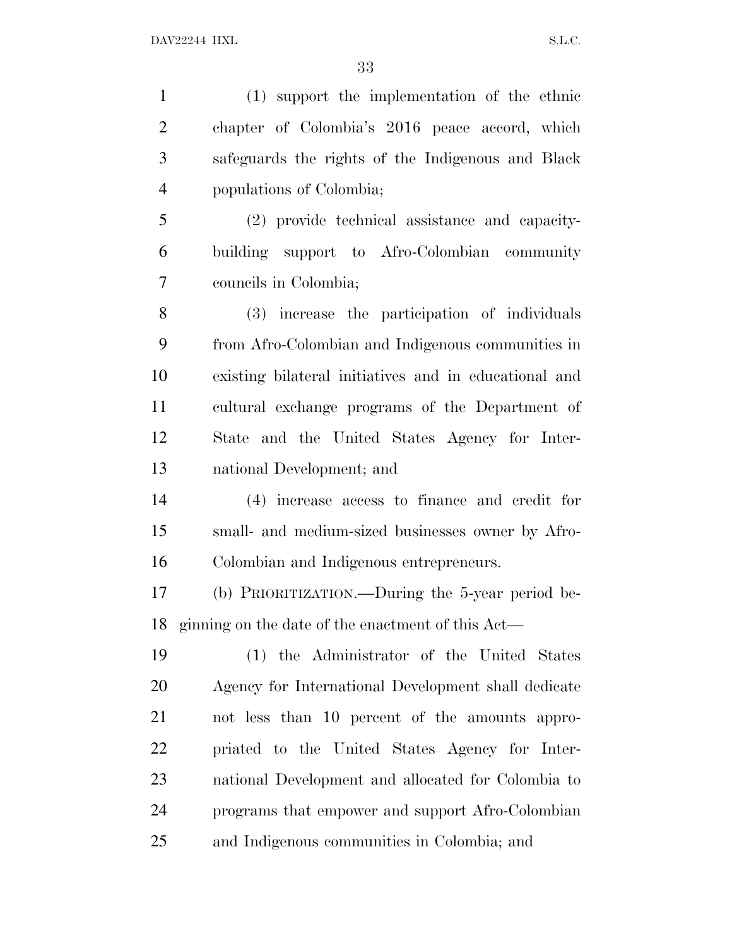(1) support the implementation of the ethnic chapter of Colombia's 2016 peace accord, which safeguards the rights of the Indigenous and Black populations of Colombia; (2) provide technical assistance and capacity- building support to Afro-Colombian community councils in Colombia; (3) increase the participation of individuals from Afro-Colombian and Indigenous communities in existing bilateral initiatives and in educational and cultural exchange programs of the Department of State and the United States Agency for Inter- national Development; and (4) increase access to finance and credit for small- and medium-sized businesses owner by Afro- Colombian and Indigenous entrepreneurs. (b) PRIORITIZATION.—During the 5-year period be- ginning on the date of the enactment of this Act— (1) the Administrator of the United States Agency for International Development shall dedicate not less than 10 percent of the amounts appro- priated to the United States Agency for Inter- national Development and allocated for Colombia to programs that empower and support Afro-Colombian

and Indigenous communities in Colombia; and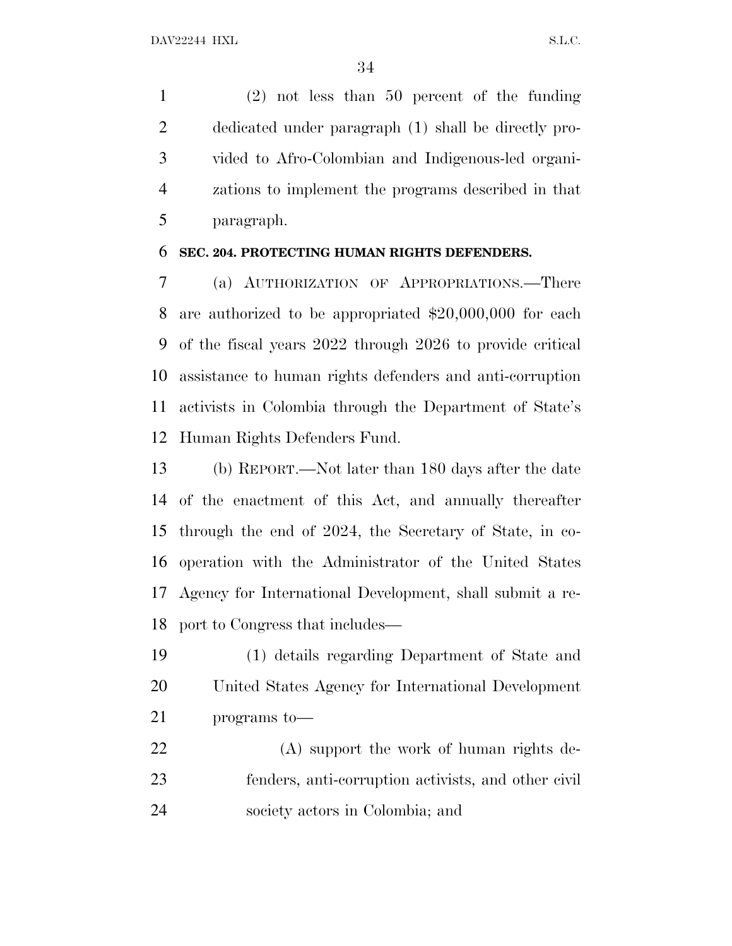(2) not less than 50 percent of the funding dedicated under paragraph (1) shall be directly pro- vided to Afro-Colombian and Indigenous-led organi- zations to implement the programs described in that paragraph.

#### **SEC. 204. PROTECTING HUMAN RIGHTS DEFENDERS.**

 (a) AUTHORIZATION OF APPROPRIATIONS.—There are authorized to be appropriated \$20,000,000 for each of the fiscal years 2022 through 2026 to provide critical assistance to human rights defenders and anti-corruption activists in Colombia through the Department of State's Human Rights Defenders Fund.

 (b) REPORT.—Not later than 180 days after the date of the enactment of this Act, and annually thereafter through the end of 2024, the Secretary of State, in co- operation with the Administrator of the United States Agency for International Development, shall submit a re-port to Congress that includes—

 (1) details regarding Department of State and United States Agency for International Development programs to—

 (A) support the work of human rights de- fenders, anti-corruption activists, and other civil society actors in Colombia; and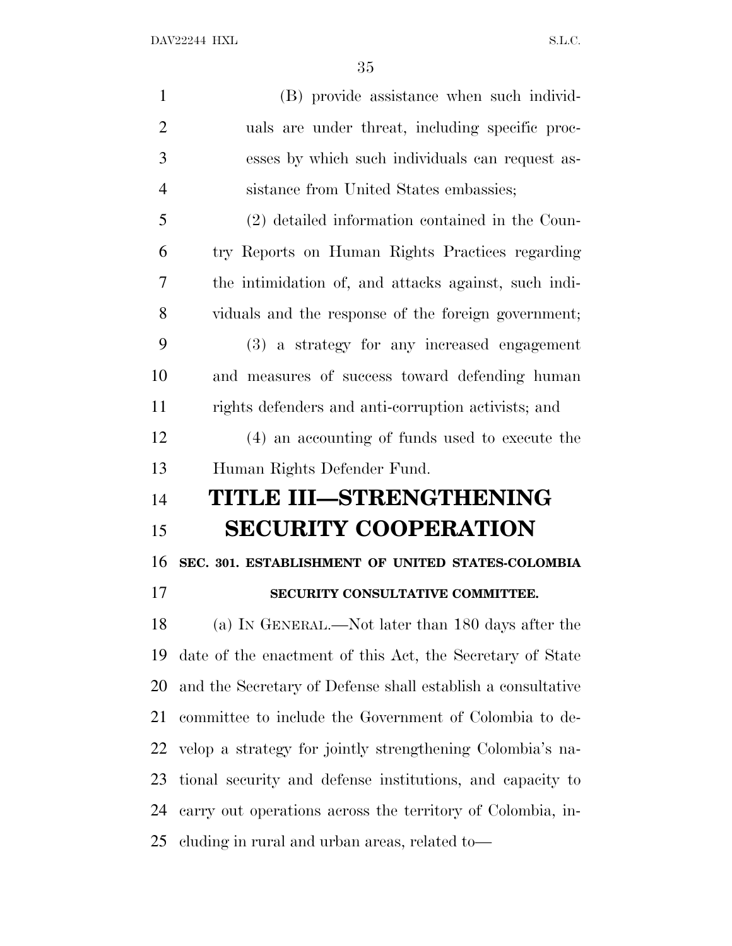| $\mathbf{1}$   | (B) provide assistance when such individ-                   |
|----------------|-------------------------------------------------------------|
| $\overline{2}$ | uals are under threat, including specific proc-             |
| 3              | esses by which such individuals can request as-             |
| $\overline{4}$ | sistance from United States embassies;                      |
| 5              | (2) detailed information contained in the Coun-             |
| 6              | try Reports on Human Rights Practices regarding             |
| $\overline{7}$ | the intimidation of, and attacks against, such indi-        |
| 8              | viduals and the response of the foreign government;         |
| 9              | (3) a strategy for any increased engagement                 |
| 10             | and measures of success toward defending human              |
| 11             | rights defenders and anti-corruption activists; and         |
| 12             | (4) an accounting of funds used to execute the              |
|                |                                                             |
| 13             | Human Rights Defender Fund.                                 |
| 14             | TITLE III-STRENGTHENING                                     |
| 15             | <b>SECURITY COOPERATION</b>                                 |
| 16             | SEC. 301. ESTABLISHMENT OF UNITED STATES-COLOMBIA           |
| 17             | SECURITY CONSULTATIVE COMMITTEE.                            |
| 18             | (a) IN GENERAL.—Not later than 180 days after the           |
| 19             | date of the enactment of this Act, the Secretary of State   |
| 20             | and the Secretary of Defense shall establish a consultative |
| 21             | committee to include the Government of Colombia to de-      |
| 22             | velop a strategy for jointly strengthening Colombia's na-   |
| 23             | tional security and defense institutions, and capacity to   |
| 24             | carry out operations across the territory of Colombia, in-  |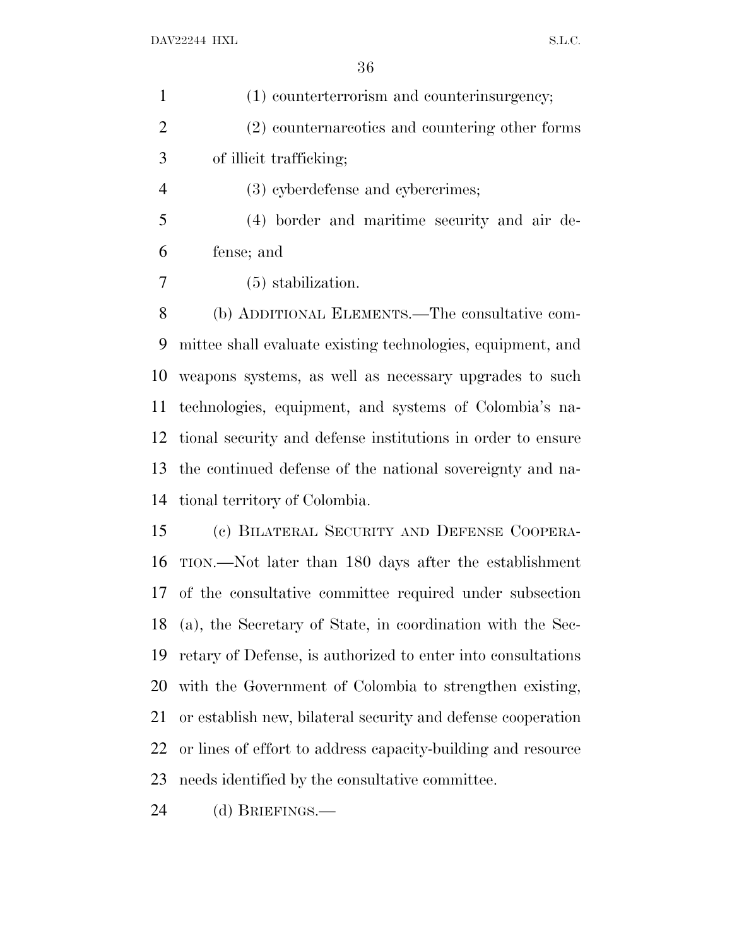| $\mathbf{1}$   | (1) counterterrorism and counterinsurgency;                  |
|----------------|--------------------------------------------------------------|
| $\overline{2}$ | (2) counternareotics and countering other forms              |
| 3              | of illicit trafficking;                                      |
| $\overline{4}$ | (3) cyberdefense and cybercrimes;                            |
| 5              | (4) border and maritime security and air de-                 |
| 6              | fense; and                                                   |
| 7              | $(5)$ stabilization.                                         |
| 8              | (b) ADDITIONAL ELEMENTS.—The consultative com-               |
| 9              | mittee shall evaluate existing technologies, equipment, and  |
| 10             | weapons systems, as well as necessary upgrades to such       |
| 11             | technologies, equipment, and systems of Colombia's na-       |
| 12             | tional security and defense institutions in order to ensure  |
| 13             | the continued defense of the national sovereignty and na-    |
| 14             | tional territory of Colombia.                                |
| 15             | (c) BILATERAL SECURITY AND DEFENSE COOPERA-                  |
| 16             | TION.—Not later than 180 days after the establishment        |
|                | 17 of the consultative committee required under subsection   |
| 18             | (a), the Secretary of State, in coordination with the Sec-   |
| 19             | retary of Defense, is authorized to enter into consultations |
| 20             | with the Government of Colombia to strengthen existing,      |
| 21             | or establish new, bilateral security and defense cooperation |
| 22             | or lines of effort to address capacity-building and resource |
| 23             | needs identified by the consultative committee.              |

(d) BRIEFINGS.—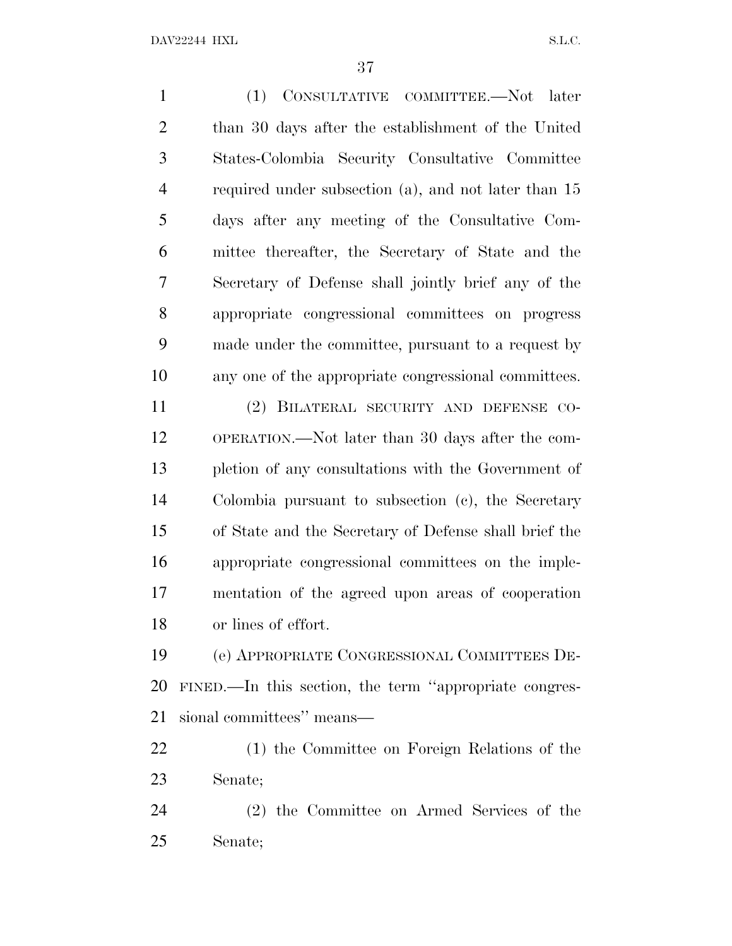(1) CONSULTATIVE COMMITTEE.—Not later than 30 days after the establishment of the United States-Colombia Security Consultative Committee required under subsection (a), and not later than 15 days after any meeting of the Consultative Com- mittee thereafter, the Secretary of State and the Secretary of Defense shall jointly brief any of the appropriate congressional committees on progress made under the committee, pursuant to a request by any one of the appropriate congressional committees. (2) BILATERAL SECURITY AND DEFENSE CO- OPERATION.—Not later than 30 days after the com- pletion of any consultations with the Government of Colombia pursuant to subsection (c), the Secretary of State and the Secretary of Defense shall brief the appropriate congressional committees on the imple-mentation of the agreed upon areas of cooperation

or lines of effort.

 (e) APPROPRIATE CONGRESSIONAL COMMITTEES DE- FINED.—In this section, the term ''appropriate congres-sional committees'' means—

 (1) the Committee on Foreign Relations of the Senate;

 (2) the Committee on Armed Services of the Senate;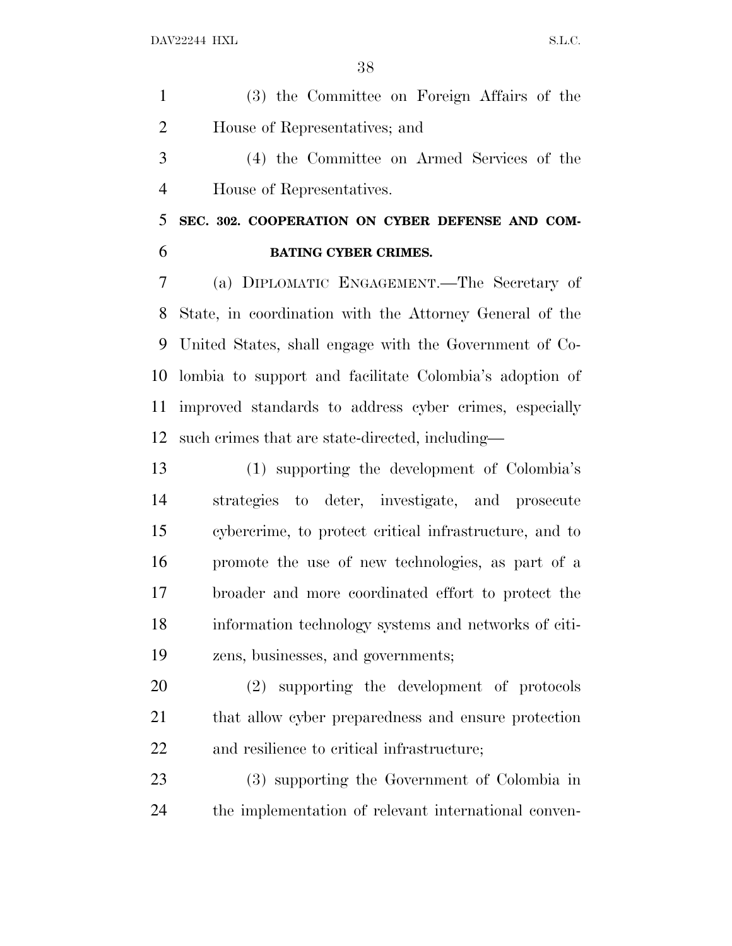(3) the Committee on Foreign Affairs of the House of Representatives; and

 (4) the Committee on Armed Services of the House of Representatives.

 **SEC. 302. COOPERATION ON CYBER DEFENSE AND COM-BATING CYBER CRIMES.**

 (a) DIPLOMATIC ENGAGEMENT.—The Secretary of State, in coordination with the Attorney General of the United States, shall engage with the Government of Co- lombia to support and facilitate Colombia's adoption of improved standards to address cyber crimes, especially such crimes that are state-directed, including—

 (1) supporting the development of Colombia's strategies to deter, investigate, and prosecute cybercrime, to protect critical infrastructure, and to promote the use of new technologies, as part of a broader and more coordinated effort to protect the information technology systems and networks of citi-zens, businesses, and governments;

 (2) supporting the development of protocols that allow cyber preparedness and ensure protection and resilience to critical infrastructure;

 (3) supporting the Government of Colombia in the implementation of relevant international conven-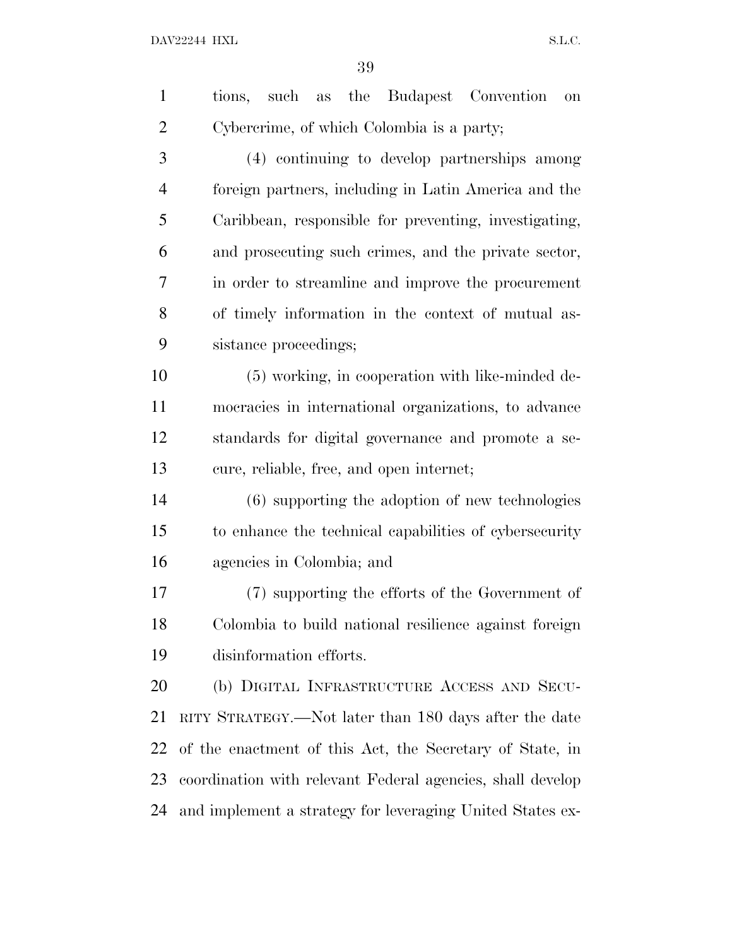| $\mathbf{1}$   | such as the Budapest Convention<br>tions,<br><b>on</b>     |
|----------------|------------------------------------------------------------|
| $\overline{2}$ | Cybercrime, of which Colombia is a party;                  |
| 3              | (4) continuing to develop partnerships among               |
| $\overline{4}$ | foreign partners, including in Latin America and the       |
| 5              | Caribbean, responsible for preventing, investigating,      |
| 6              | and prosecuting such crimes, and the private sector,       |
| 7              | in order to streamline and improve the procurement         |
| 8              | of timely information in the context of mutual as-         |
| 9              | sistance proceedings;                                      |
| 10             | (5) working, in cooperation with like-minded de-           |
| 11             | mocracies in international organizations, to advance       |
| 12             | standards for digital governance and promote a se-         |
| 13             | cure, reliable, free, and open internet;                   |
| 14             | $(6)$ supporting the adoption of new technologies          |
| 15             | to enhance the technical capabilities of cybersecurity     |
| 16             | agencies in Colombia; and                                  |
| 17             | (7) supporting the efforts of the Government of            |
| 18             | Colombia to build national resilience against foreign      |
| 19             | disinformation efforts.                                    |
| 20             | (b) DIGITAL INFRASTRUCTURE ACCESS AND SECU-                |
| 21             | RITY STRATEGY.—Not later than 180 days after the date      |
| 22             | of the enactment of this Act, the Secretary of State, in   |
| 23             | coordination with relevant Federal agencies, shall develop |
| 24             | and implement a strategy for leveraging United States ex-  |
|                |                                                            |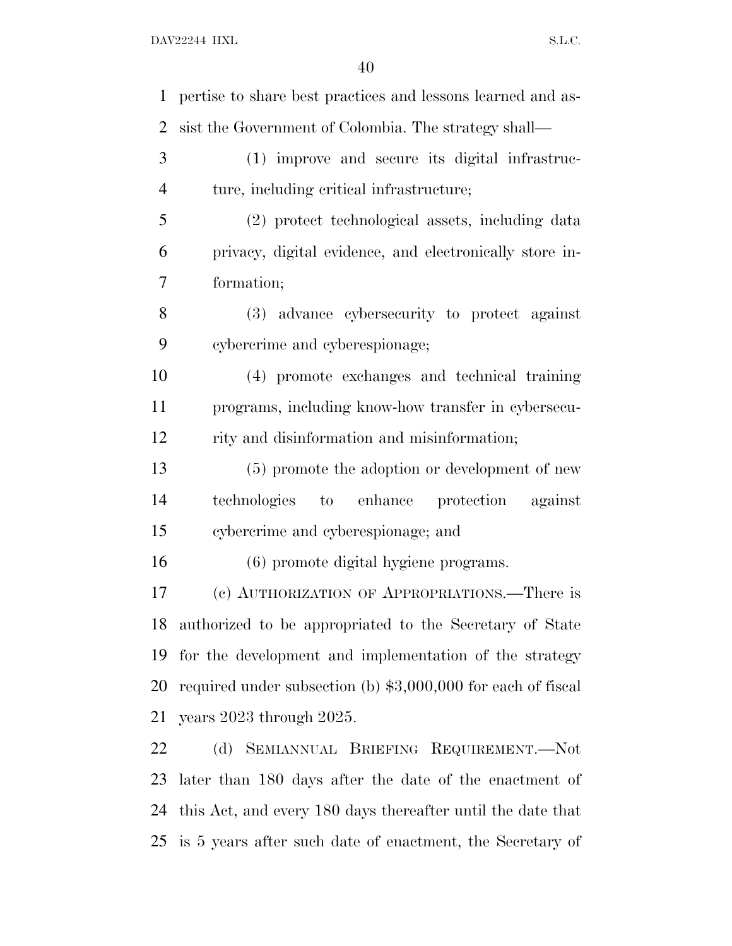| $\mathbf{1}$   | pertise to share best practices and lessons learned and as-   |
|----------------|---------------------------------------------------------------|
| $\overline{2}$ | sist the Government of Colombia. The strategy shall—          |
| 3              | (1) improve and secure its digital infrastruc-                |
| $\overline{4}$ | ture, including critical infrastructure;                      |
| 5              | (2) protect technological assets, including data              |
| 6              | privacy, digital evidence, and electronically store in-       |
| 7              | formation;                                                    |
| 8              | (3) advance cybersecurity to protect against                  |
| 9              | cybercrime and cyberespionage;                                |
| 10             | (4) promote exchanges and technical training                  |
| 11             | programs, including know-how transfer in cybersecu-           |
| 12             | rity and disinformation and misinformation;                   |
| 13             | (5) promote the adoption or development of new                |
| 14             | to enhance protection against<br>technologies                 |
| 15             | cybercrime and cyberespionage; and                            |
| 16             | (6) promote digital hygiene programs.                         |
| 17             | (c) AUTHORIZATION OF APPROPRIATIONS.—There is                 |
| 18             | authorized to be appropriated to the Secretary of State       |
| 19             | for the development and implementation of the strategy        |
| 20             | required under subsection (b) $$3,000,000$ for each of fiscal |
| 21             | years 2023 through 2025.                                      |
| 22             | (d) SEMIANNUAL BRIEFING REQUIREMENT.-Not                      |
| 23             | later than 180 days after the date of the enactment of        |
| 24             | this Act, and every 180 days thereafter until the date that   |
| 25             | is 5 years after such date of enactment, the Secretary of     |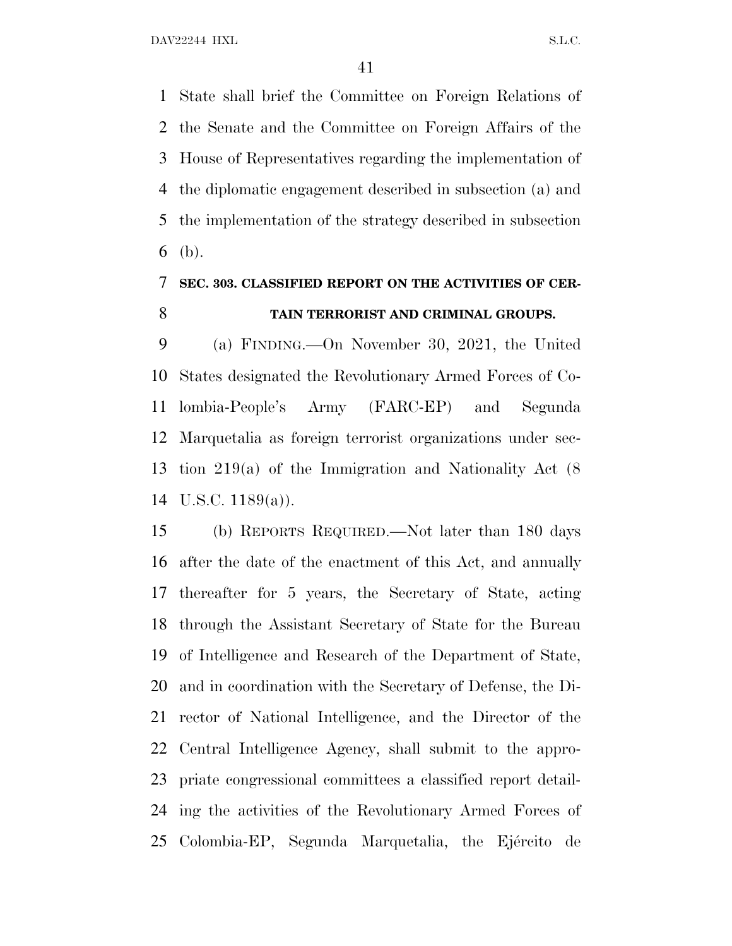State shall brief the Committee on Foreign Relations of the Senate and the Committee on Foreign Affairs of the House of Representatives regarding the implementation of the diplomatic engagement described in subsection (a) and the implementation of the strategy described in subsection (b).

### **SEC. 303. CLASSIFIED REPORT ON THE ACTIVITIES OF CER-TAIN TERRORIST AND CRIMINAL GROUPS.**

 (a) FINDING.—On November 30, 2021, the United States designated the Revolutionary Armed Forces of Co- lombia-People's Army (FARC-EP) and Segunda Marquetalia as foreign terrorist organizations under sec- tion 219(a) of the Immigration and Nationality Act (8 U.S.C. 1189(a)).

 (b) REPORTS REQUIRED.—Not later than 180 days after the date of the enactment of this Act, and annually thereafter for 5 years, the Secretary of State, acting through the Assistant Secretary of State for the Bureau of Intelligence and Research of the Department of State, and in coordination with the Secretary of Defense, the Di- rector of National Intelligence, and the Director of the Central Intelligence Agency, shall submit to the appro- priate congressional committees a classified report detail- ing the activities of the Revolutionary Armed Forces of 25 Colombia-EP, Segunda Marquetalia, the Ejército de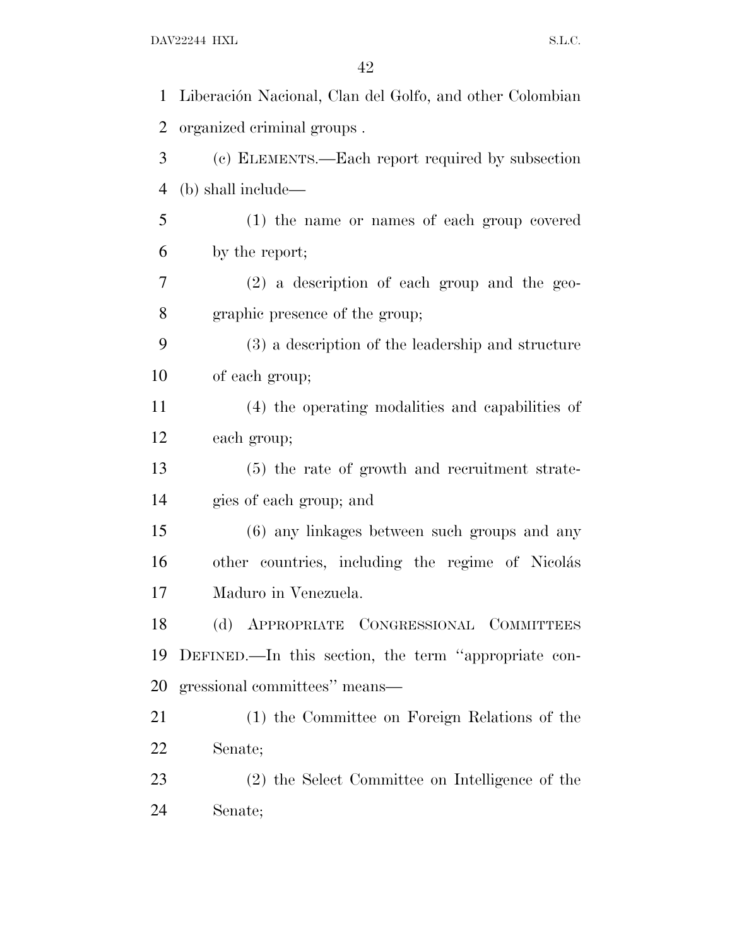| $\mathbf{1}$   | Liberación Nacional, Clan del Golfo, and other Colombian |
|----------------|----------------------------------------------------------|
| $\overline{2}$ | organized criminal groups.                               |
| 3              | (c) ELEMENTS.—Each report required by subsection         |
| 4              | (b) shall include—                                       |
| 5              | (1) the name or names of each group covered              |
| 6              | by the report;                                           |
| 7              | $(2)$ a description of each group and the geo-           |
| 8              | graphic presence of the group;                           |
| 9              | (3) a description of the leadership and structure        |
| 10             | of each group;                                           |
| 11             | (4) the operating modalities and capabilities of         |
| 12             | each group;                                              |
| 13             | (5) the rate of growth and recruitment strate-           |
| 14             | gies of each group; and                                  |
| 15             | (6) any linkages between such groups and any             |
| 16             | other countries, including the regime of Nicolás         |
| 17             | Maduro in Venezuela.                                     |
| 18             | (d) APPROPRIATE CONGRESSIONAL COMMITTEES                 |
| 19             | DEFINED.—In this section, the term "appropriate con-     |
| 20             | gressional committees" means—                            |
| 21             | (1) the Committee on Foreign Relations of the            |
| 22             | Senate;                                                  |
| 23             | (2) the Select Committee on Intelligence of the          |
| 24             | Senate;                                                  |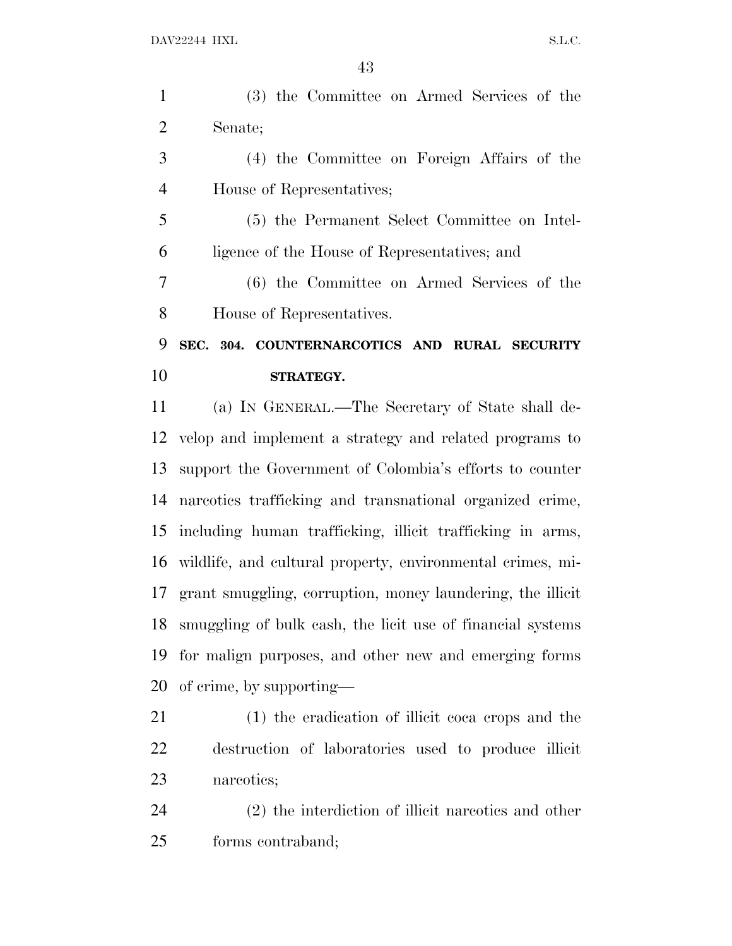(3) the Committee on Armed Services of the Senate;

 (4) the Committee on Foreign Affairs of the House of Representatives;

 (5) the Permanent Select Committee on Intel-ligence of the House of Representatives; and

 (6) the Committee on Armed Services of the House of Representatives.

### **SEC. 304. COUNTERNARCOTICS AND RURAL SECURITY STRATEGY.**

 (a) I<sup>N</sup> GENERAL.—The Secretary of State shall de- velop and implement a strategy and related programs to support the Government of Colombia's efforts to counter narcotics trafficking and transnational organized crime, including human trafficking, illicit trafficking in arms, wildlife, and cultural property, environmental crimes, mi- grant smuggling, corruption, money laundering, the illicit smuggling of bulk cash, the licit use of financial systems for malign purposes, and other new and emerging forms of crime, by supporting—

 (1) the eradication of illicit coca crops and the destruction of laboratories used to produce illicit narcotics;

 (2) the interdiction of illicit narcotics and other forms contraband;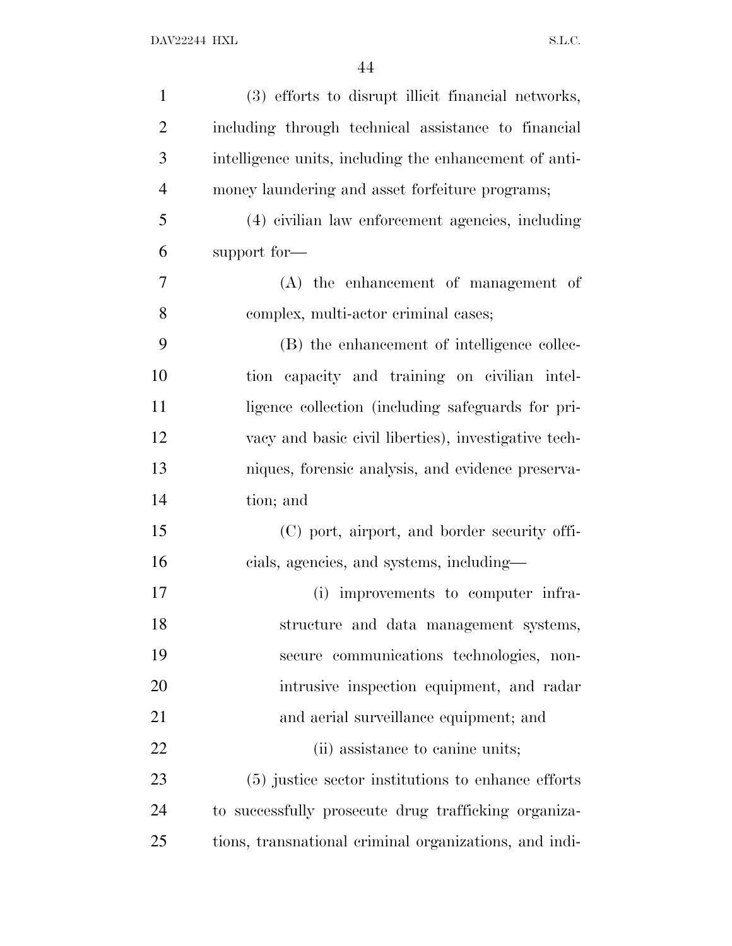| $\mathbf{1}$   | (3) efforts to disrupt illicit financial networks,     |
|----------------|--------------------------------------------------------|
| $\overline{2}$ | including through technical assistance to financial    |
| 3              | intelligence units, including the enhancement of anti- |
| $\overline{4}$ | money laundering and asset forfeiture programs;        |
| 5              | (4) civilian law enforcement agencies, including       |
| 6              | support for-                                           |
| 7              | $(A)$ the enhancement of management of                 |
| 8              | complex, multi-actor criminal cases;                   |
| 9              | (B) the enhancement of intelligence collec-            |
| 10             | tion capacity and training on civilian intel-          |
| 11             | ligence collection (including safeguards for pri-      |
| 12             | vacy and basic civil liberties), investigative tech-   |
| 13             | niques, forensic analysis, and evidence preserva-      |
| 14             | tion; and                                              |
| 15             | (C) port, airport, and border security offi-           |
| 16             | cials, agencies, and systems, including—               |
| 17             | (i) improvements to computer infra-                    |
| 18             | structure and data management systems,                 |
| 19             | secure communications technologies, non-               |
| 20             | intrusive inspection equipment, and radar              |
| 21             | and aerial surveillance equipment; and                 |
| 22             | (ii) assistance to canine units;                       |
| 23             | (5) justice sector institutions to enhance efforts     |
| 24             | to successfully prosecute drug trafficking organiza-   |
| 25             | tions, transnational criminal organizations, and indi- |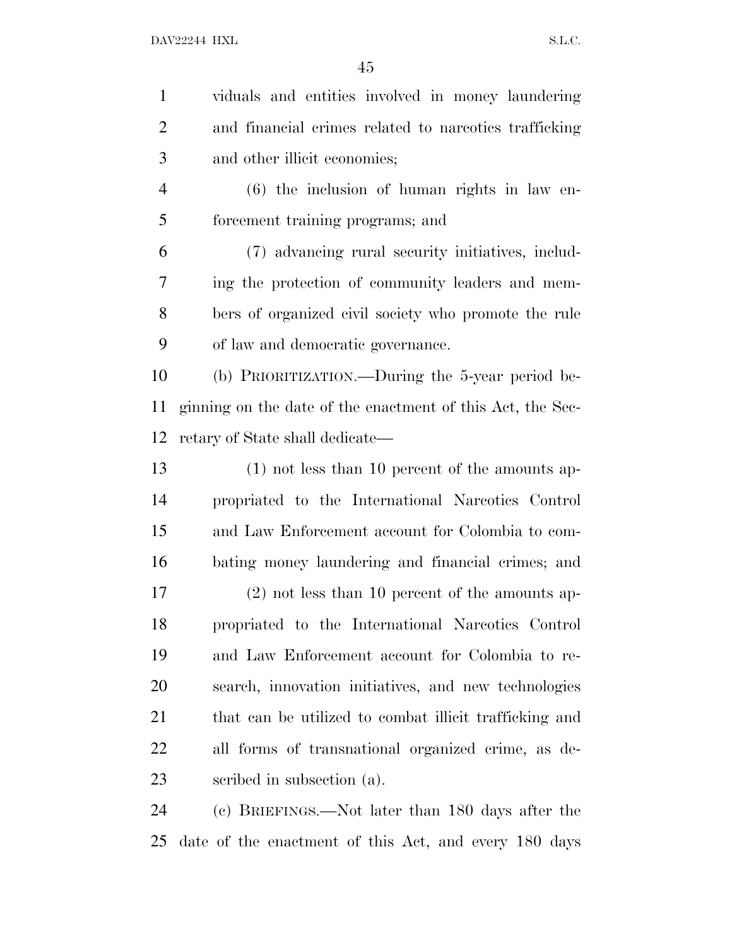viduals and entities involved in money laundering and financial crimes related to narcotics trafficking and other illicit economies; (6) the inclusion of human rights in law en- forcement training programs; and (7) advancing rural security initiatives, includ- ing the protection of community leaders and mem- bers of organized civil society who promote the rule of law and democratic governance. (b) PRIORITIZATION.—During the 5-year period be- ginning on the date of the enactment of this Act, the Sec- retary of State shall dedicate— (1) not less than 10 percent of the amounts ap- propriated to the International Narcotics Control and Law Enforcement account for Colombia to com- bating money laundering and financial crimes; and (2) not less than 10 percent of the amounts ap- propriated to the International Narcotics Control and Law Enforcement account for Colombia to re-search, innovation initiatives, and new technologies

 that can be utilized to combat illicit trafficking and all forms of transnational organized crime, as de-scribed in subsection (a).

 (c) BRIEFINGS.—Not later than 180 days after the date of the enactment of this Act, and every 180 days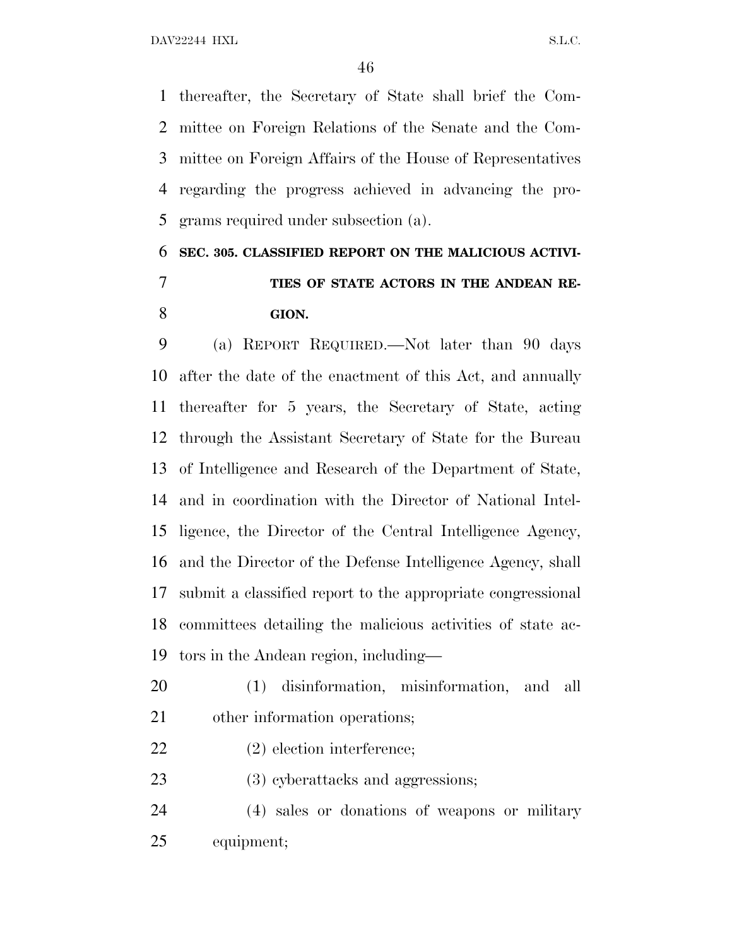thereafter, the Secretary of State shall brief the Com- mittee on Foreign Relations of the Senate and the Com- mittee on Foreign Affairs of the House of Representatives regarding the progress achieved in advancing the pro-grams required under subsection (a).

## **SEC. 305. CLASSIFIED REPORT ON THE MALICIOUS ACTIVI- TIES OF STATE ACTORS IN THE ANDEAN RE-GION.**

 (a) REPORT REQUIRED.—Not later than 90 days after the date of the enactment of this Act, and annually thereafter for 5 years, the Secretary of State, acting through the Assistant Secretary of State for the Bureau of Intelligence and Research of the Department of State, and in coordination with the Director of National Intel- ligence, the Director of the Central Intelligence Agency, and the Director of the Defense Intelligence Agency, shall submit a classified report to the appropriate congressional committees detailing the malicious activities of state ac-tors in the Andean region, including—

- (1) disinformation, misinformation, and all other information operations;
- (2) election interference;
- 23 (3) cyberattacks and aggressions;

 (4) sales or donations of weapons or military equipment;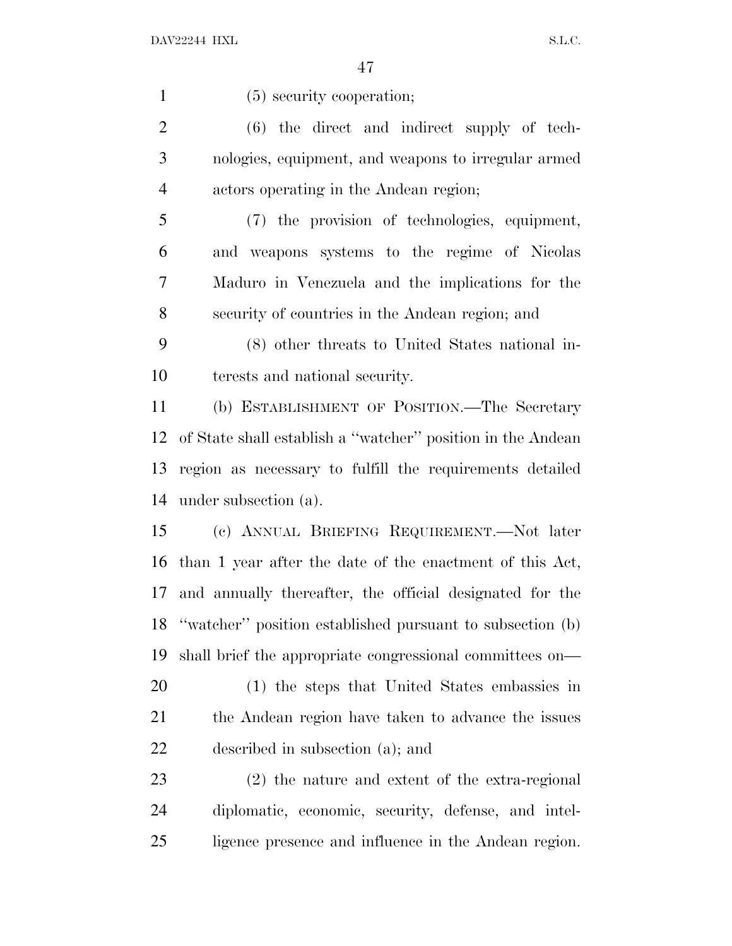(5) security cooperation; (6) the direct and indirect supply of tech- nologies, equipment, and weapons to irregular armed actors operating in the Andean region; (7) the provision of technologies, equipment, and weapons systems to the regime of Nicolas Maduro in Venezuela and the implications for the security of countries in the Andean region; and (8) other threats to United States national in- terests and national security. (b) ESTABLISHMENT OF POSITION.—The Secretary of State shall establish a ''watcher'' position in the Andean region as necessary to fulfill the requirements detailed under subsection (a). (c) ANNUAL BRIEFING REQUIREMENT.—Not later than 1 year after the date of the enactment of this Act, and annually thereafter, the official designated for the ''watcher'' position established pursuant to subsection (b) shall brief the appropriate congressional committees on— (1) the steps that United States embassies in the Andean region have taken to advance the issues described in subsection (a); and (2) the nature and extent of the extra-regional diplomatic, economic, security, defense, and intel-ligence presence and influence in the Andean region.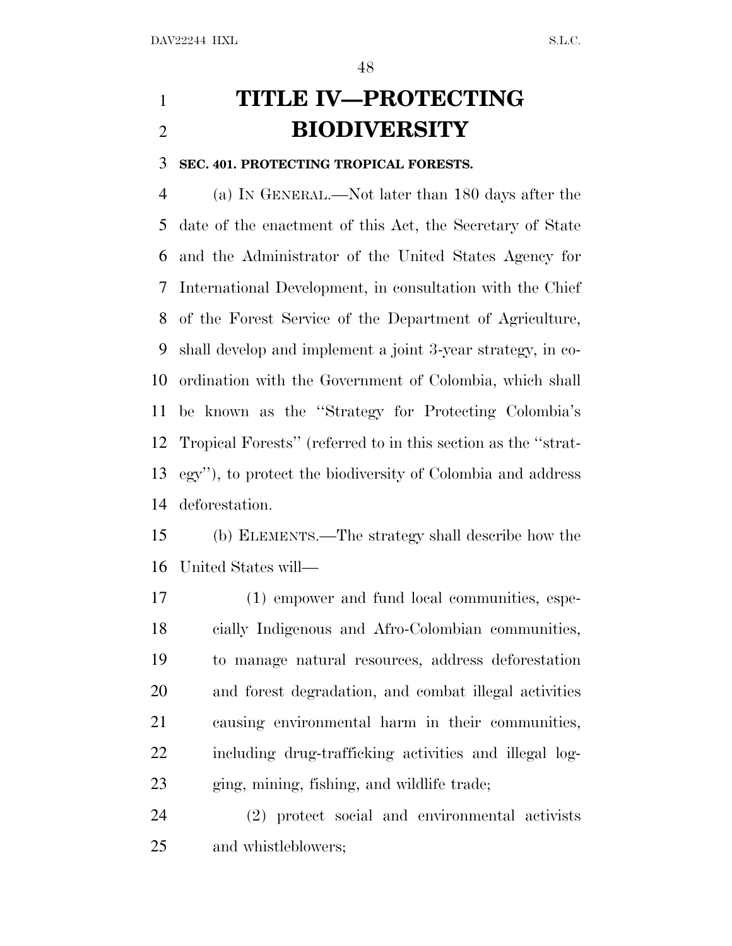# **TITLE IV—PROTECTING BIODIVERSITY**

#### **SEC. 401. PROTECTING TROPICAL FORESTS.**

 (a) I<sup>N</sup> GENERAL.—Not later than 180 days after the date of the enactment of this Act, the Secretary of State and the Administrator of the United States Agency for International Development, in consultation with the Chief of the Forest Service of the Department of Agriculture, shall develop and implement a joint 3-year strategy, in co- ordination with the Government of Colombia, which shall be known as the ''Strategy for Protecting Colombia's Tropical Forests'' (referred to in this section as the ''strat- egy''), to protect the biodiversity of Colombia and address deforestation.

 (b) ELEMENTS.—The strategy shall describe how the United States will—

 (1) empower and fund local communities, espe- cially Indigenous and Afro-Colombian communities, to manage natural resources, address deforestation and forest degradation, and combat illegal activities causing environmental harm in their communities, including drug-trafficking activities and illegal log-ging, mining, fishing, and wildlife trade;

 (2) protect social and environmental activists and whistleblowers;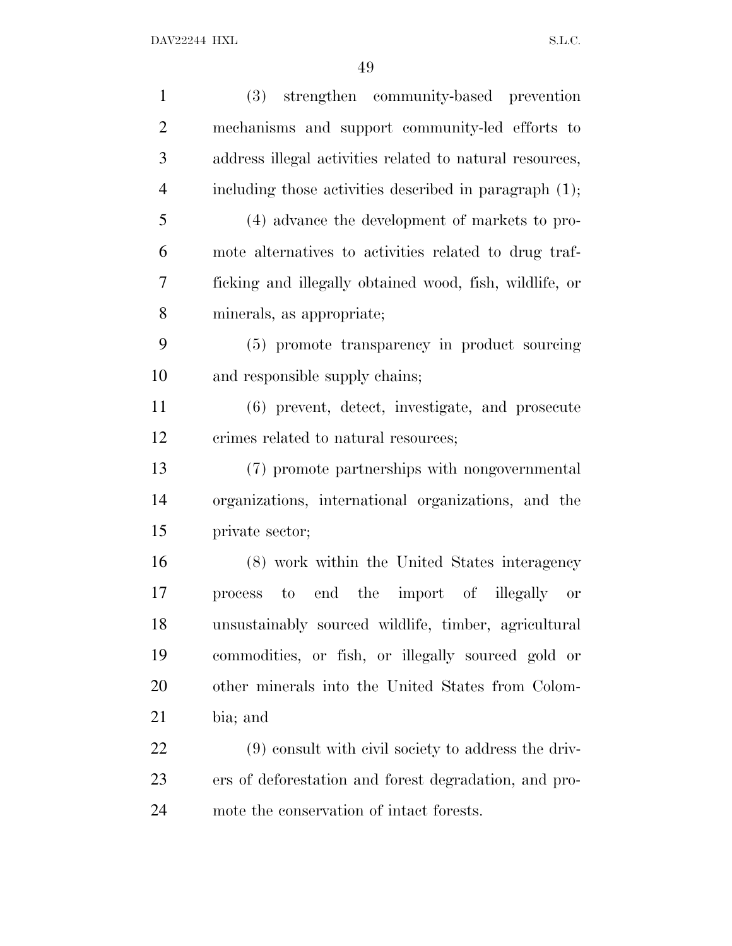| (3) strengthen community-based prevention                |
|----------------------------------------------------------|
| mechanisms and support community-led efforts to          |
| address illegal activities related to natural resources, |
| including those activities described in paragraph (1);   |
| (4) advance the development of markets to pro-           |
| mote alternatives to activities related to drug traf-    |
| ficking and illegally obtained wood, fish, wildlife, or  |
| minerals, as appropriate;                                |
| (5) promote transparency in product sourcing             |
| and responsible supply chains;                           |
| (6) prevent, detect, investigate, and prosecute          |
| crimes related to natural resources;                     |
| (7) promote partnerships with nongovernmental            |
| organizations, international organizations, and the      |
| private sector;                                          |
| (8) work within the United States interagency            |
| process to end the import of illegally<br><b>or</b>      |
| unsustainably sourced wildlife, timber, agricultural     |
| commodities, or fish, or illegally sourced gold or       |
| other minerals into the United States from Colom-        |
| bia; and                                                 |
| (9) consult with civil society to address the driv-      |
| ers of deforestation and forest degradation, and pro-    |
| mote the conservation of intact forests.                 |
|                                                          |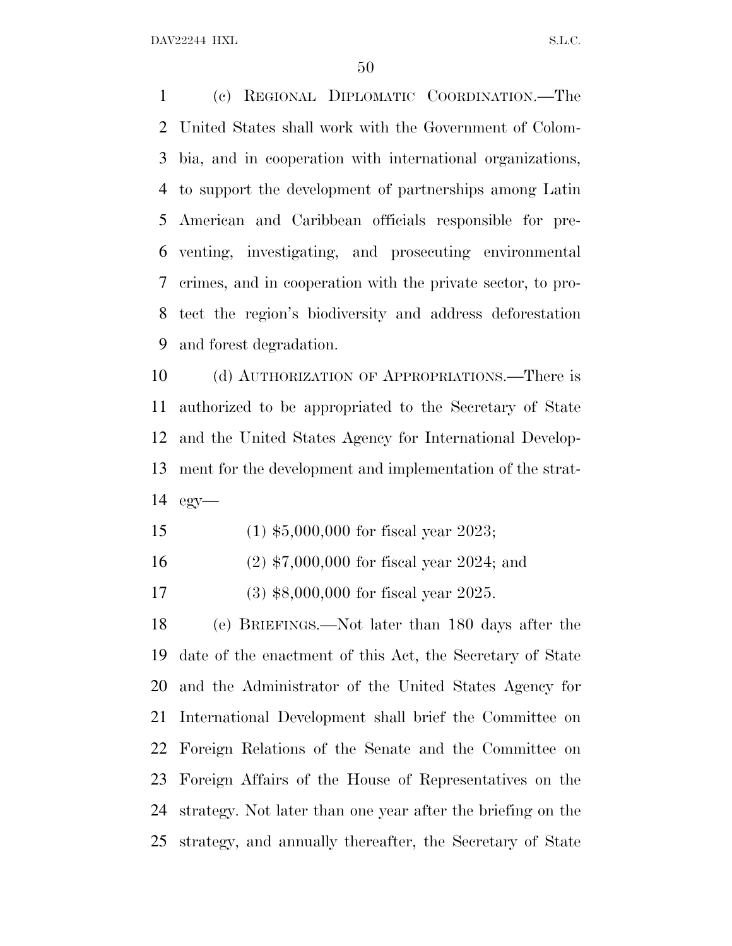DAV22244 HXL S.L.C.

 (c) REGIONAL DIPLOMATIC COORDINATION.—The United States shall work with the Government of Colom- bia, and in cooperation with international organizations, to support the development of partnerships among Latin American and Caribbean officials responsible for pre- venting, investigating, and prosecuting environmental crimes, and in cooperation with the private sector, to pro- tect the region's biodiversity and address deforestation and forest degradation.

 (d) AUTHORIZATION OF APPROPRIATIONS.—There is authorized to be appropriated to the Secretary of State and the United States Agency for International Develop- ment for the development and implementation of the strat-egy—

- (1) \$5,000,000 for fiscal year 2023;
- (2) \$7,000,000 for fiscal year 2024; and
- (3) \$8,000,000 for fiscal year 2025.

 (e) BRIEFINGS.—Not later than 180 days after the date of the enactment of this Act, the Secretary of State and the Administrator of the United States Agency for International Development shall brief the Committee on Foreign Relations of the Senate and the Committee on Foreign Affairs of the House of Representatives on the strategy. Not later than one year after the briefing on the strategy, and annually thereafter, the Secretary of State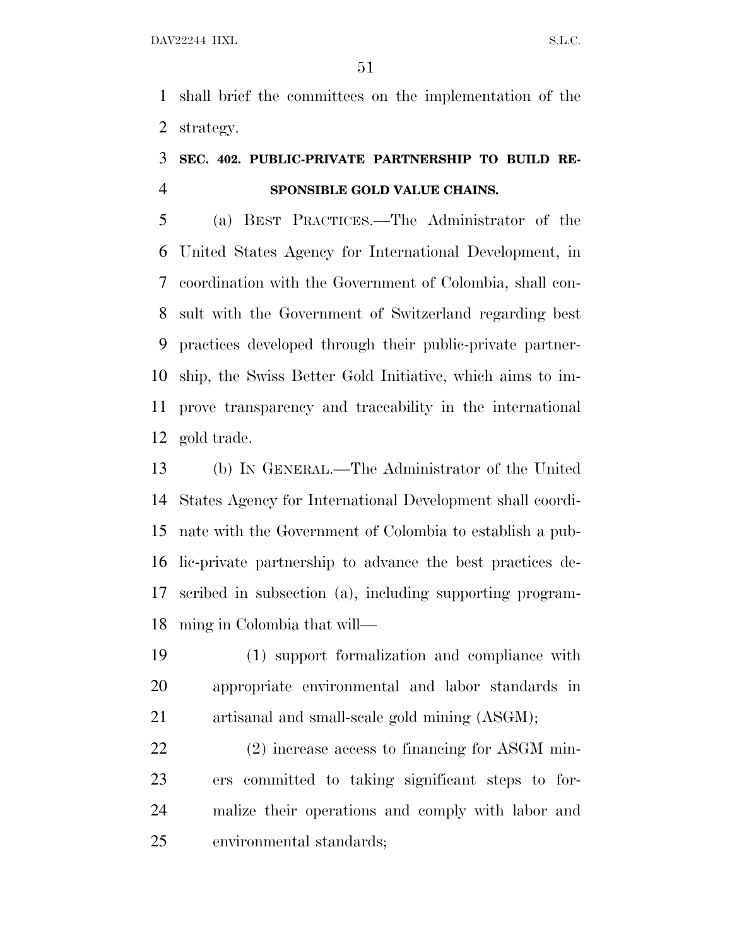shall brief the committees on the implementation of the strategy.

### **SEC. 402. PUBLIC-PRIVATE PARTNERSHIP TO BUILD RE-SPONSIBLE GOLD VALUE CHAINS.**

 (a) BEST PRACTICES.—The Administrator of the United States Agency for International Development, in coordination with the Government of Colombia, shall con- sult with the Government of Switzerland regarding best practices developed through their public-private partner- ship, the Swiss Better Gold Initiative, which aims to im- prove transparency and traceability in the international gold trade.

 (b) I<sup>N</sup> GENERAL.—The Administrator of the United States Agency for International Development shall coordi- nate with the Government of Colombia to establish a pub- lic-private partnership to advance the best practices de- scribed in subsection (a), including supporting program-ming in Colombia that will—

 (1) support formalization and compliance with appropriate environmental and labor standards in artisanal and small-scale gold mining (ASGM);

22 (2) increase access to financing for ASGM min- ers committed to taking significant steps to for- malize their operations and comply with labor and environmental standards;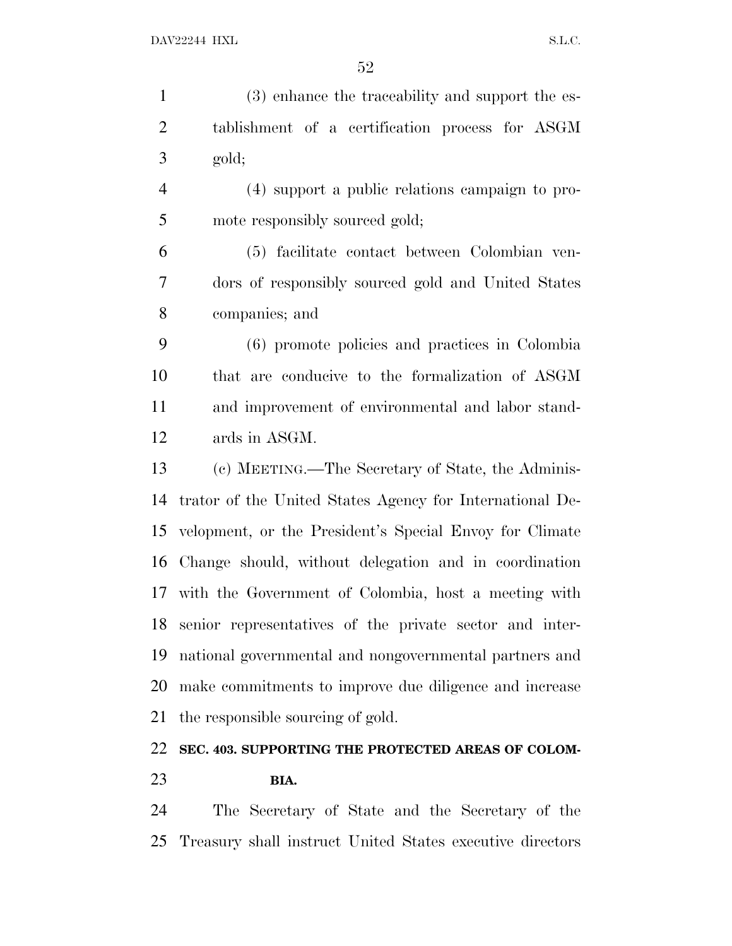(3) enhance the traceability and support the es- tablishment of a certification process for ASGM gold;

 (4) support a public relations campaign to pro-5 mote responsibly sourced gold;

 (5) facilitate contact between Colombian ven- dors of responsibly sourced gold and United States companies; and

 (6) promote policies and practices in Colombia that are conducive to the formalization of ASGM and improvement of environmental and labor stand-ards in ASGM.

 (c) MEETING.—The Secretary of State, the Adminis- trator of the United States Agency for International De- velopment, or the President's Special Envoy for Climate Change should, without delegation and in coordination with the Government of Colombia, host a meeting with senior representatives of the private sector and inter- national governmental and nongovernmental partners and make commitments to improve due diligence and increase the responsible sourcing of gold.

### **SEC. 403. SUPPORTING THE PROTECTED AREAS OF COLOM-BIA.**

 The Secretary of State and the Secretary of the Treasury shall instruct United States executive directors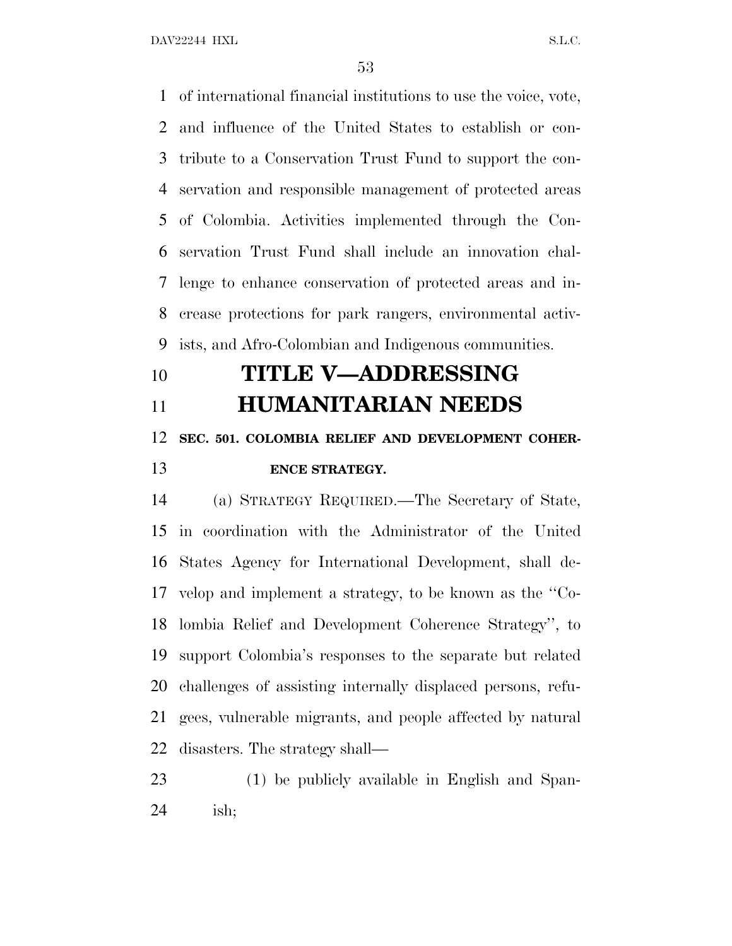DAV22244 HXL S.L.C.

 of international financial institutions to use the voice, vote, and influence of the United States to establish or con- tribute to a Conservation Trust Fund to support the con- servation and responsible management of protected areas of Colombia. Activities implemented through the Con- servation Trust Fund shall include an innovation chal- lenge to enhance conservation of protected areas and in- crease protections for park rangers, environmental activ-ists, and Afro-Colombian and Indigenous communities.

# **TITLE V—ADDRESSING HUMANITARIAN NEEDS SEC. 501. COLOMBIA RELIEF AND DEVELOPMENT COHER-**

### **ENCE STRATEGY.**

 (a) STRATEGY REQUIRED.—The Secretary of State, in coordination with the Administrator of the United States Agency for International Development, shall de- velop and implement a strategy, to be known as the ''Co- lombia Relief and Development Coherence Strategy'', to support Colombia's responses to the separate but related challenges of assisting internally displaced persons, refu- gees, vulnerable migrants, and people affected by natural disasters. The strategy shall—

 (1) be publicly available in English and Span-ish;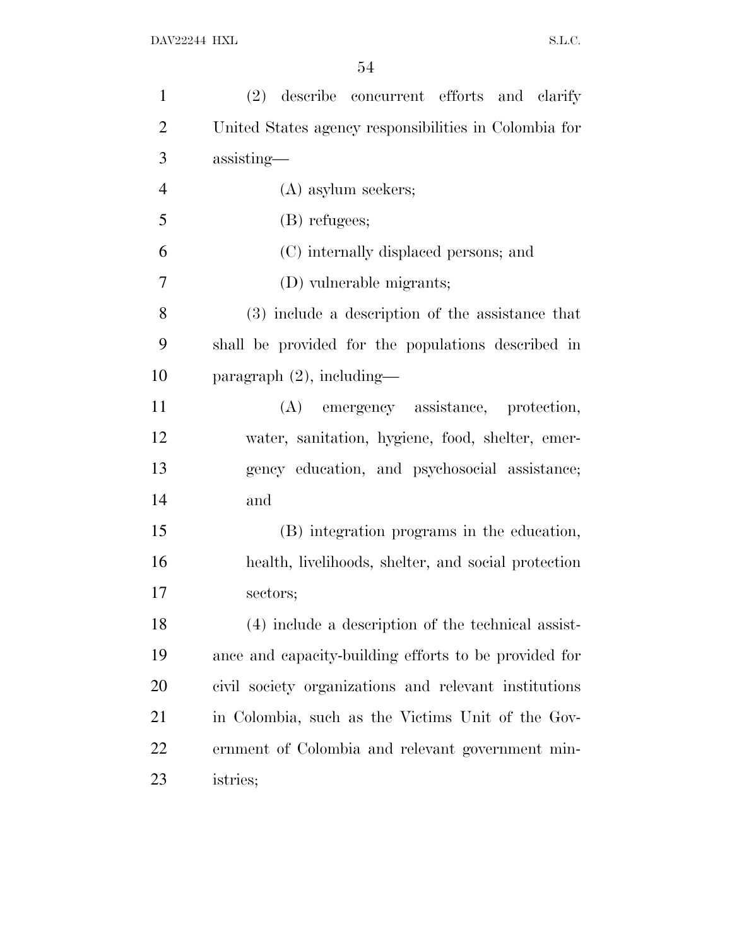| $\mathbf{1}$   | (2) describe concurrent efforts and clarify           |
|----------------|-------------------------------------------------------|
| $\overline{2}$ | United States agency responsibilities in Colombia for |
| 3              | assisting-                                            |
| $\overline{4}$ | (A) asylum seekers;                                   |
| 5              | (B) refugees;                                         |
| 6              | (C) internally displaced persons; and                 |
| $\overline{7}$ | (D) vulnerable migrants;                              |
| 8              | (3) include a description of the assistance that      |
| 9              | shall be provided for the populations described in    |
| 10             | paragraph $(2)$ , including—                          |
| 11             | (A) emergency assistance, protection,                 |
| 12             | water, sanitation, hygiene, food, shelter, emer-      |
| 13             | gency education, and psychosocial assistance;         |
| 14             | and                                                   |
| 15             | (B) integration programs in the education,            |
| 16             | health, livelihoods, shelter, and social protection   |
| 17             | sectors;                                              |
| 18             | (4) include a description of the technical assist-    |
| 19             | ance and capacity-building efforts to be provided for |
| 20             | civil society organizations and relevant institutions |
| 21             | in Colombia, such as the Victims Unit of the Gov-     |
| 22             | ernment of Colombia and relevant government min-      |
| 23             | istries;                                              |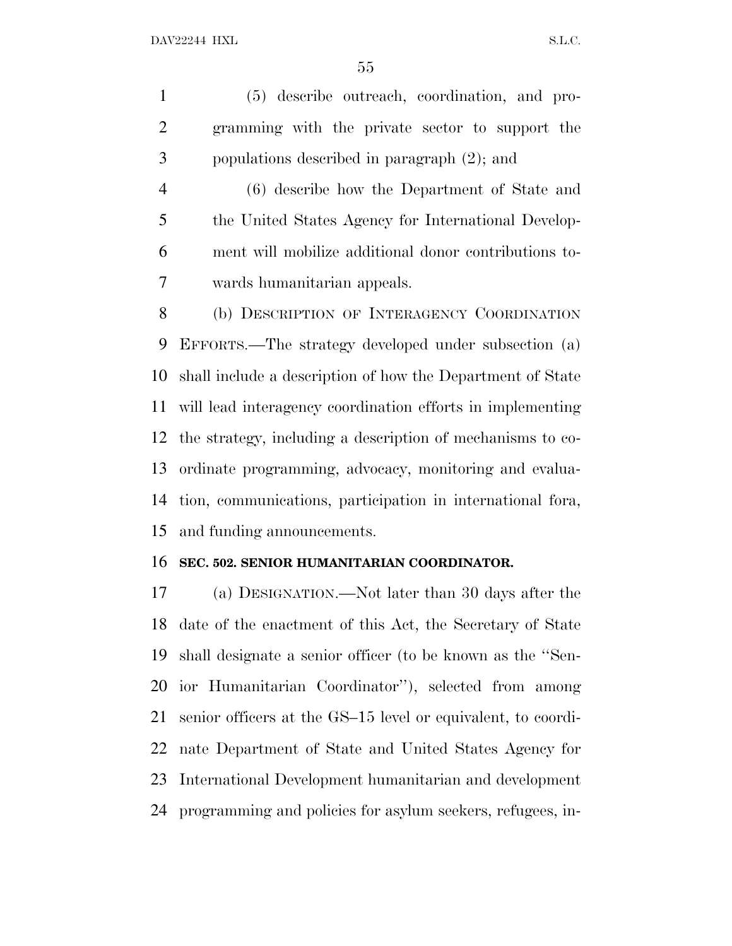(5) describe outreach, coordination, and pro- gramming with the private sector to support the populations described in paragraph (2); and

 (6) describe how the Department of State and 5 the United States Agency for International Develop- ment will mobilize additional donor contributions to-wards humanitarian appeals.

8 (b) DESCRIPTION OF INTERAGENCY COORDINATION EFFORTS.—The strategy developed under subsection (a) shall include a description of how the Department of State will lead interagency coordination efforts in implementing the strategy, including a description of mechanisms to co- ordinate programming, advocacy, monitoring and evalua- tion, communications, participation in international fora, and funding announcements.

#### **SEC. 502. SENIOR HUMANITARIAN COORDINATOR.**

 (a) DESIGNATION.—Not later than 30 days after the date of the enactment of this Act, the Secretary of State shall designate a senior officer (to be known as the ''Sen- ior Humanitarian Coordinator''), selected from among senior officers at the GS–15 level or equivalent, to coordi- nate Department of State and United States Agency for International Development humanitarian and development programming and policies for asylum seekers, refugees, in-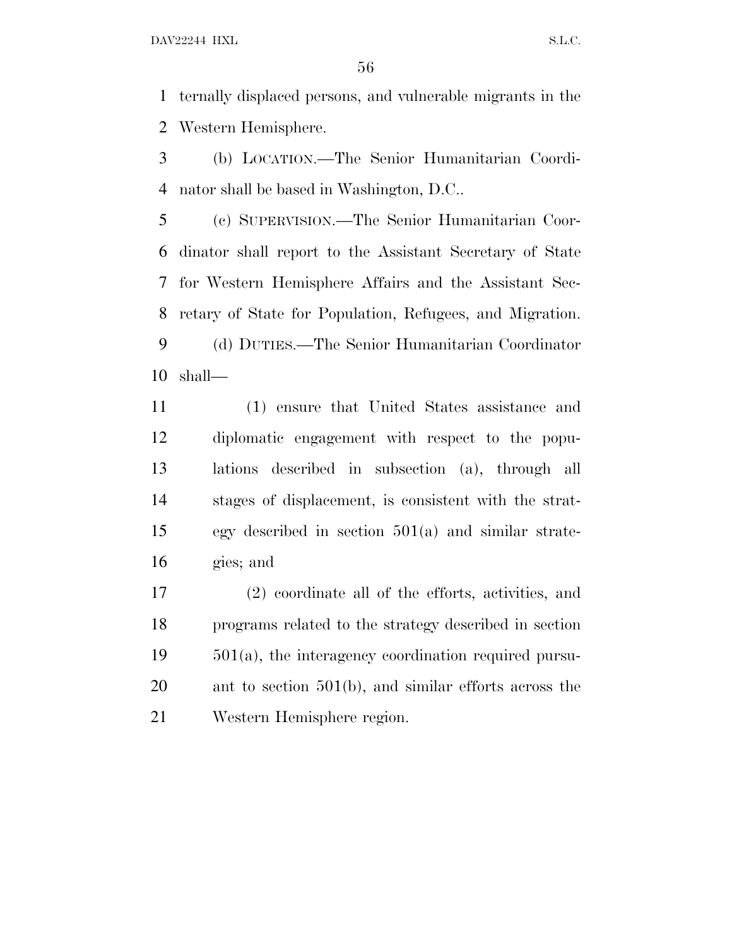ternally displaced persons, and vulnerable migrants in the Western Hemisphere.

 (b) LOCATION.—The Senior Humanitarian Coordi-nator shall be based in Washington, D.C..

 (c) SUPERVISION.—The Senior Humanitarian Coor- dinator shall report to the Assistant Secretary of State for Western Hemisphere Affairs and the Assistant Sec- retary of State for Population, Refugees, and Migration. (d) DUTIES.—The Senior Humanitarian Coordinator shall—

 (1) ensure that United States assistance and diplomatic engagement with respect to the popu- lations described in subsection (a), through all stages of displacement, is consistent with the strat- egy described in section 501(a) and similar strate-gies; and

 (2) coordinate all of the efforts, activities, and programs related to the strategy described in section 501(a), the interagency coordination required pursu- ant to section 501(b), and similar efforts across the Western Hemisphere region.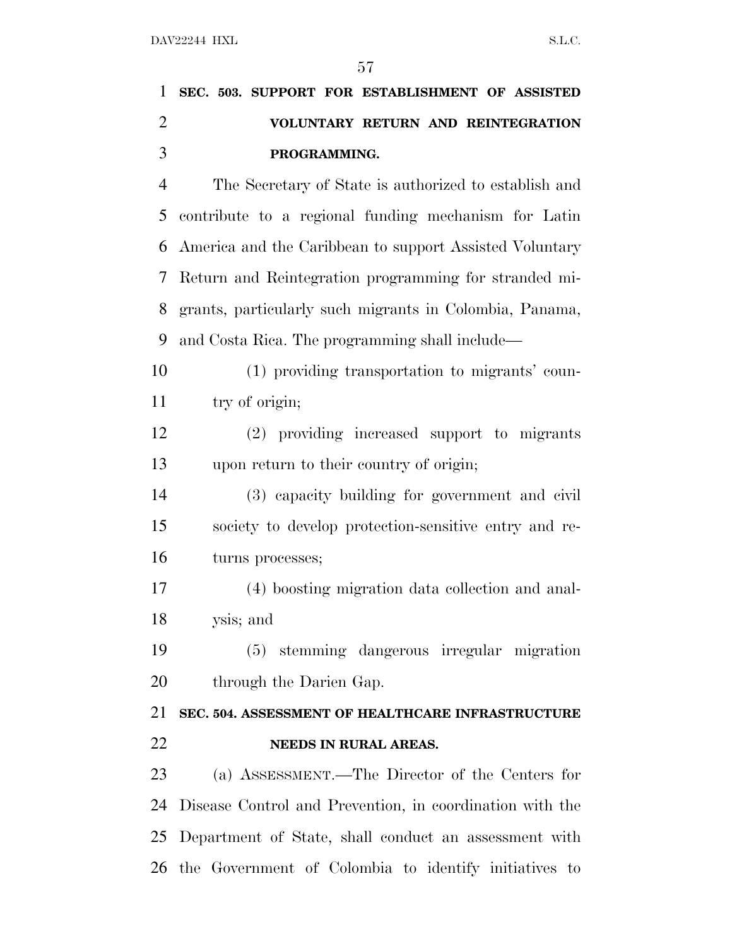|                | $5^{\prime}$                                            |
|----------------|---------------------------------------------------------|
| 1              | SEC. 503. SUPPORT FOR ESTABLISHMENT OF ASSISTED         |
| $\overline{2}$ | VOLUNTARY RETURN AND REINTEGRATION                      |
| 3              | PROGRAMMING.                                            |
| $\overline{4}$ | The Secretary of State is authorized to establish and   |
| 5              | contribute to a regional funding mechanism for Latin    |
| 6              | America and the Caribbean to support Assisted Voluntary |
| 7              | Return and Reintegration programming for stranded mi-   |
| 8              | grants, particularly such migrants in Colombia, Panama, |
| 9              | and Costa Rica. The programming shall include—          |
| 10             | (1) providing transportation to migrants' coun-         |
| 11             | try of origin;                                          |
| 12             | (2) providing increased support to migrants             |
| 13             | upon return to their country of origin;                 |
| 14             | (3) capacity building for government and civil          |
| 15             | society to develop protection-sensitive entry and re-   |
| 16             | turns processes;                                        |
| 17             | (4) boosting migration data collection and anal-        |
| 18             | ysis; and                                               |
| 19             | (5) stemming dangerous irregular migration              |
| 20             | through the Darien Gap.                                 |
| 21             | SEC. 504. ASSESSMENT OF HEALTHCARE INFRASTRUCTURE       |
| 22             | NEEDS IN RURAL AREAS.                                   |
| 23             | (a) ASSESSMENT — The Director of the Centers for        |

 (a) ASSESSMENT.—The Director of the Centers for Disease Control and Prevention, in coordination with the Department of State, shall conduct an assessment with the Government of Colombia to identify initiatives to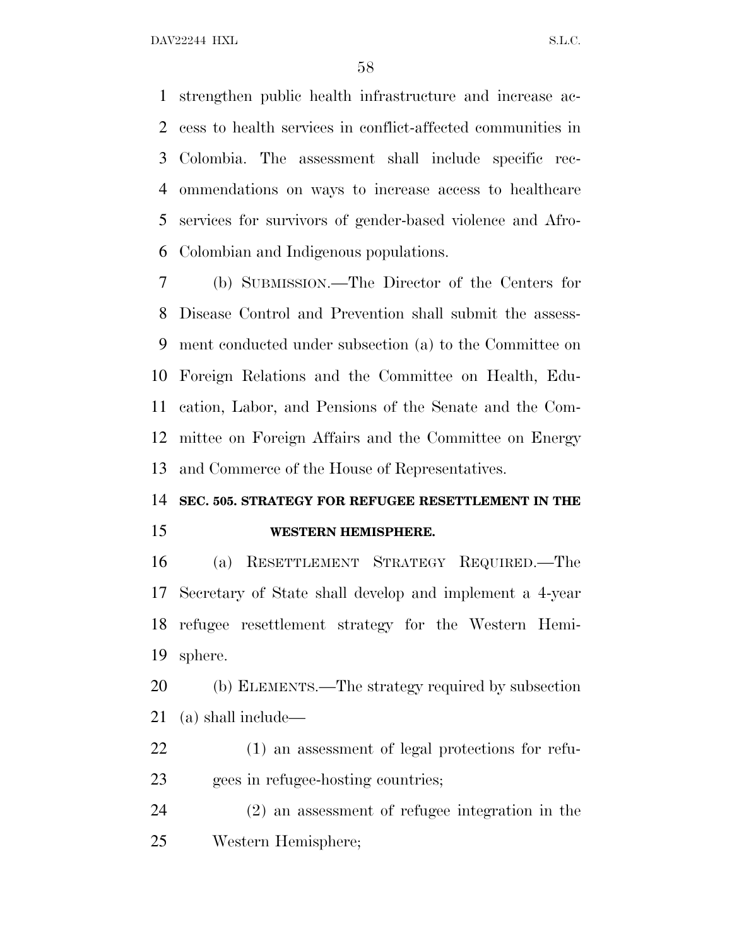strengthen public health infrastructure and increase ac- cess to health services in conflict-affected communities in Colombia. The assessment shall include specific rec- ommendations on ways to increase access to healthcare services for survivors of gender-based violence and Afro-Colombian and Indigenous populations.

 (b) SUBMISSION.—The Director of the Centers for Disease Control and Prevention shall submit the assess- ment conducted under subsection (a) to the Committee on Foreign Relations and the Committee on Health, Edu- cation, Labor, and Pensions of the Senate and the Com- mittee on Foreign Affairs and the Committee on Energy and Commerce of the House of Representatives.

### **SEC. 505. STRATEGY FOR REFUGEE RESETTLEMENT IN THE WESTERN HEMISPHERE.**

 (a) RESETTLEMENT STRATEGY REQUIRED.—The Secretary of State shall develop and implement a 4-year refugee resettlement strategy for the Western Hemi-sphere.

 (b) ELEMENTS.—The strategy required by subsection (a) shall include—

 (1) an assessment of legal protections for refu-gees in refugee-hosting countries;

 (2) an assessment of refugee integration in the Western Hemisphere;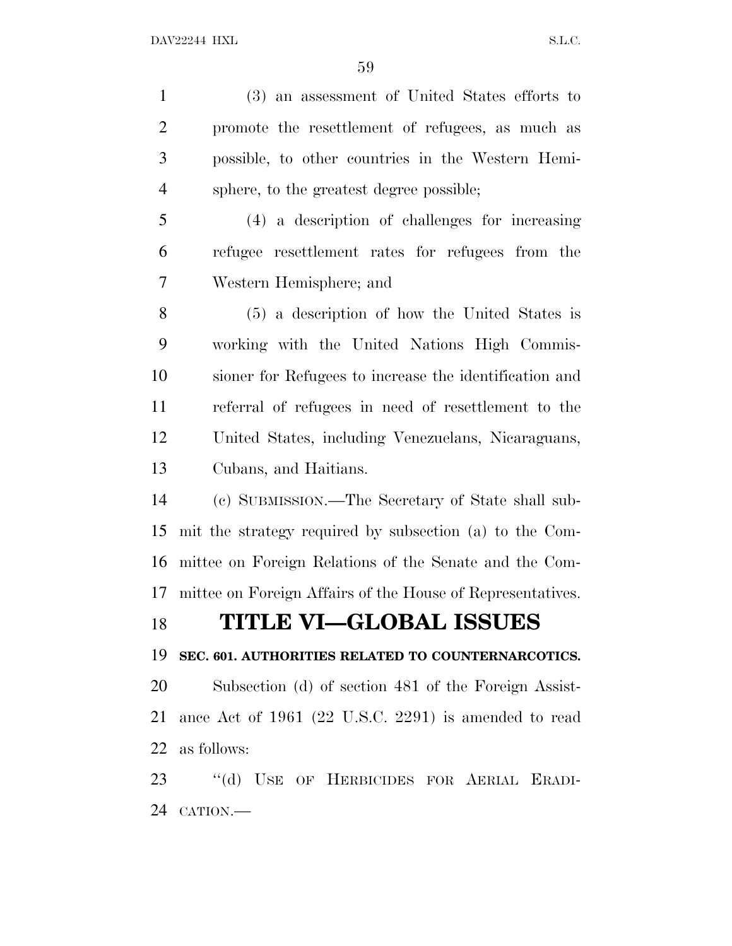(3) an assessment of United States efforts to promote the resettlement of refugees, as much as possible, to other countries in the Western Hemi- sphere, to the greatest degree possible; (4) a description of challenges for increasing refugee resettlement rates for refugees from the Western Hemisphere; and (5) a description of how the United States is working with the United Nations High Commis- sioner for Refugees to increase the identification and referral of refugees in need of resettlement to the United States, including Venezuelans, Nicaraguans, Cubans, and Haitians. (c) SUBMISSION.—The Secretary of State shall sub- mit the strategy required by subsection (a) to the Com- mittee on Foreign Relations of the Senate and the Com- mittee on Foreign Affairs of the House of Representatives. **TITLE VI—GLOBAL ISSUES SEC. 601. AUTHORITIES RELATED TO COUNTERNARCOTICS.** Subsection (d) of section 481 of the Foreign Assist- ance Act of 1961 (22 U.S.C. 2291) is amended to read as follows: ''(d) USE OF HERBICIDES FOR AERIAL ERADI-CATION.—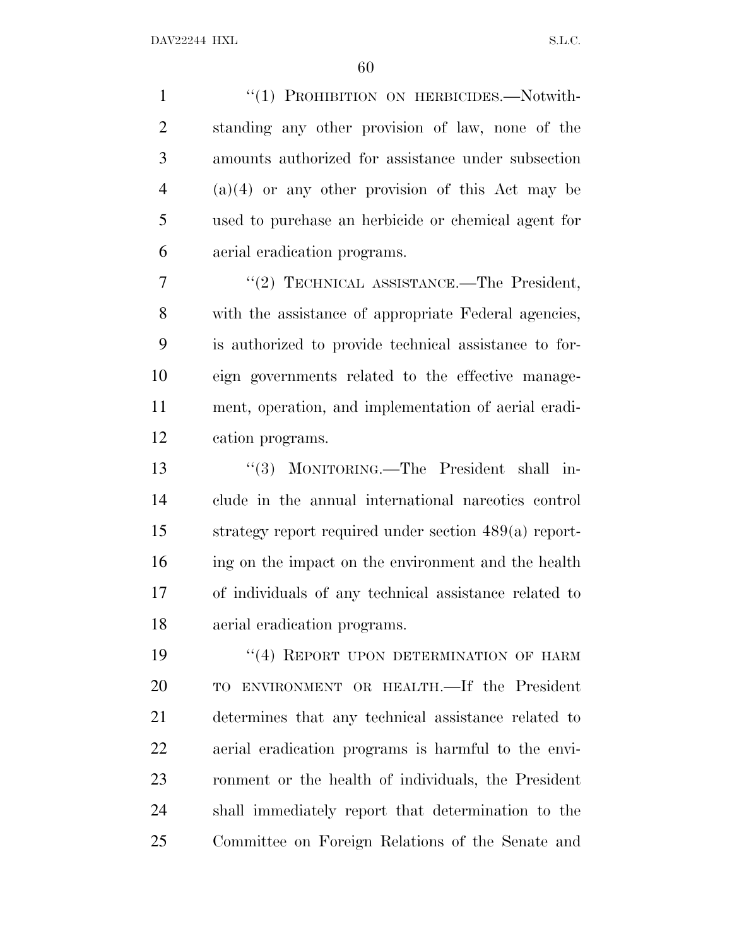1 "(1) PROHIBITION ON HERBICIDES.—Notwith- standing any other provision of law, none of the amounts authorized for assistance under subsection (a)(4) or any other provision of this Act may be used to purchase an herbicide or chemical agent for aerial eradication programs.

7 "(2) TECHNICAL ASSISTANCE.—The President, with the assistance of appropriate Federal agencies, is authorized to provide technical assistance to for- eign governments related to the effective manage- ment, operation, and implementation of aerial eradi-cation programs.

 ''(3) MONITORING.—The President shall in- clude in the annual international narcotics control strategy report required under section 489(a) report- ing on the impact on the environment and the health of individuals of any technical assistance related to aerial eradication programs.

19 "(4) REPORT UPON DETERMINATION OF HARM TO ENVIRONMENT OR HEALTH.—If the President determines that any technical assistance related to aerial eradication programs is harmful to the envi- ronment or the health of individuals, the President shall immediately report that determination to the Committee on Foreign Relations of the Senate and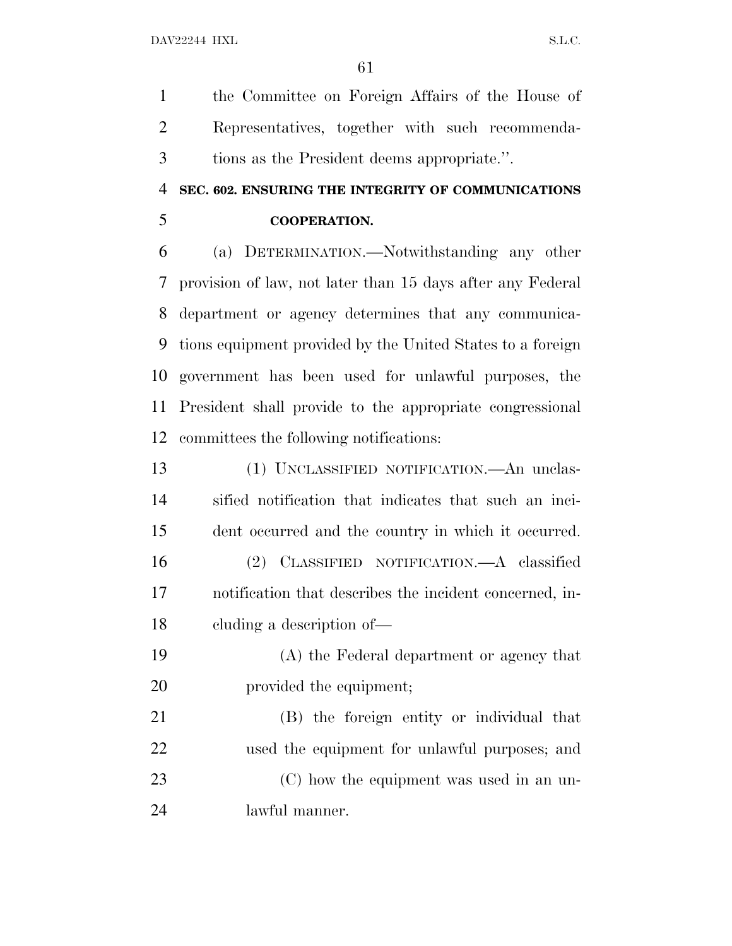the Committee on Foreign Affairs of the House of Representatives, together with such recommenda-tions as the President deems appropriate.''.

### **SEC. 602. ENSURING THE INTEGRITY OF COMMUNICATIONS COOPERATION.**

 (a) DETERMINATION.—Notwithstanding any other provision of law, not later than 15 days after any Federal department or agency determines that any communica- tions equipment provided by the United States to a foreign government has been used for unlawful purposes, the President shall provide to the appropriate congressional committees the following notifications:

 (1) UNCLASSIFIED NOTIFICATION.—An unclas- sified notification that indicates that such an inci- dent occurred and the country in which it occurred. (2) CLASSIFIED NOTIFICATION.—A classified notification that describes the incident concerned, in-cluding a description of—

 (A) the Federal department or agency that 20 provided the equipment;

 (B) the foreign entity or individual that used the equipment for unlawful purposes; and (C) how the equipment was used in an un-lawful manner.